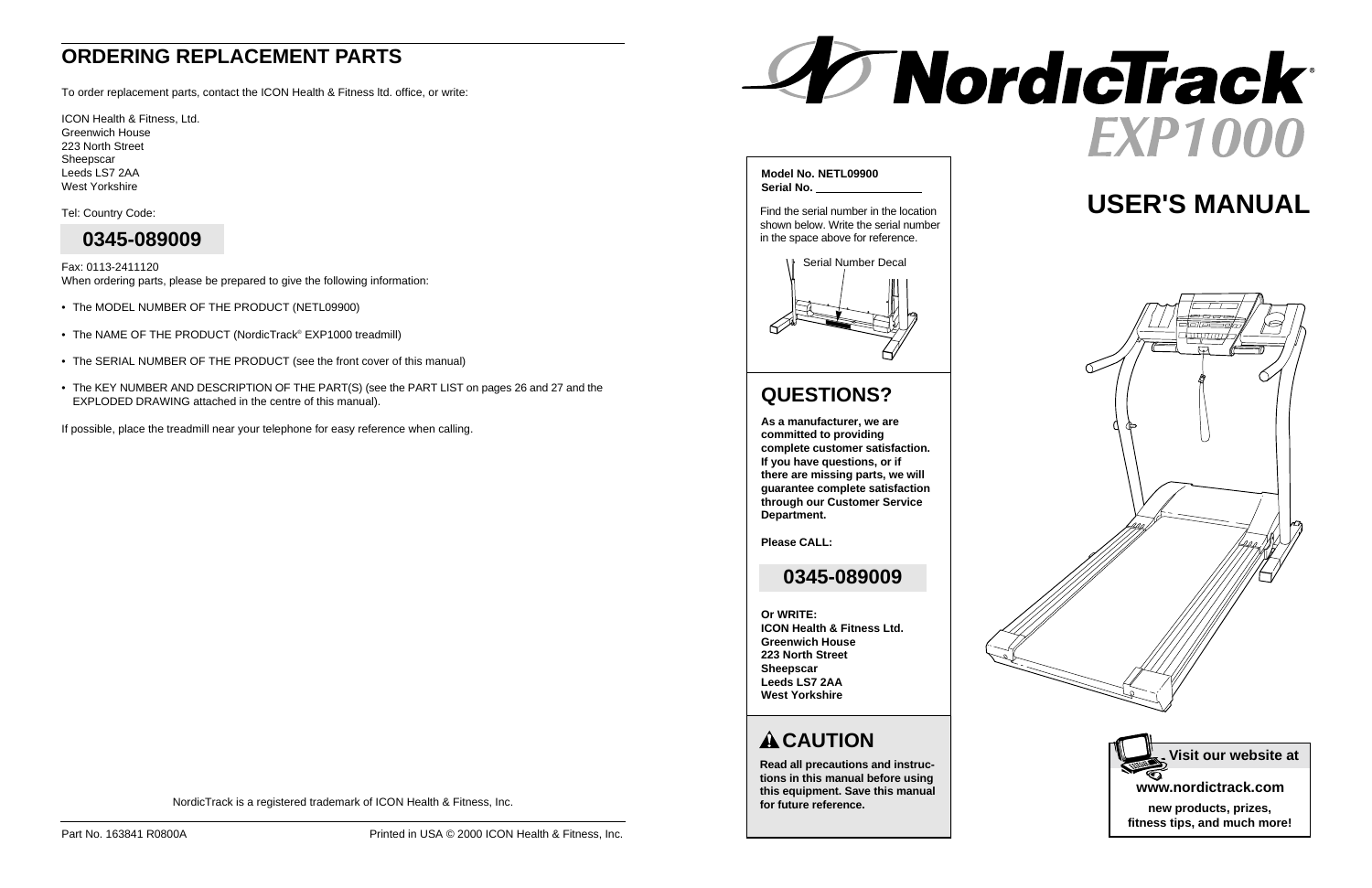# **USER'S MANUAL**

# **CAUTION**

**Read all precautions and instructions in this manual before using this equipment. Save this manual for future reference.**



**Model No. NETL09900 Serial No.** 

Find the serial number in the location shown below. Write the serial number in the space above for reference.



# **QUESTIONS?**

**As a manufacturer, we are committed to providing complete customer satisfaction. If you have questions, or if there are missing parts, we will guarantee complete satisfaction through our Customer Service Department.**

**Please CALL:**

### **Or WRITE:**

**ICON Health & Fitness Ltd. Greenwich House 223 North Street Sheepscar Leeds LS7 2AA West Yorkshire**

NordicTrack is a registered trademark of ICON Health & Fitness, Inc.

## **0345-089009**

# **ORDERING REPLACEMENT PARTS**

To order replacement parts, contact the ICON Health & Fitness ltd. office, or write:

ICON Health & Fitness, Ltd. Greenwich House 223 North Street Sheepscar Leeds LS7 2AA West Yorkshire

Tel: Country Code:

Fax: 0113-2411120 When ordering parts, please be prepared to give the following information:

- The MODEL NUMBER OF THE PRODUCT (NETL09900)
- The NAME OF THE PRODUCT (NordicTrack® EXP1000 treadmill)
- The SERIAL NUMBER OF THE PRODUCT (see the front cover of this manual)
- The KEY NUMBER AND DESCRIPTION OF THE PART(S) (see the PART LIST on pages 26 and 27 and the EXPLODED DRAWING attached in the centre of this manual).

If possible, place the treadmill near your telephone for easy reference when calling.



# **0345-089009**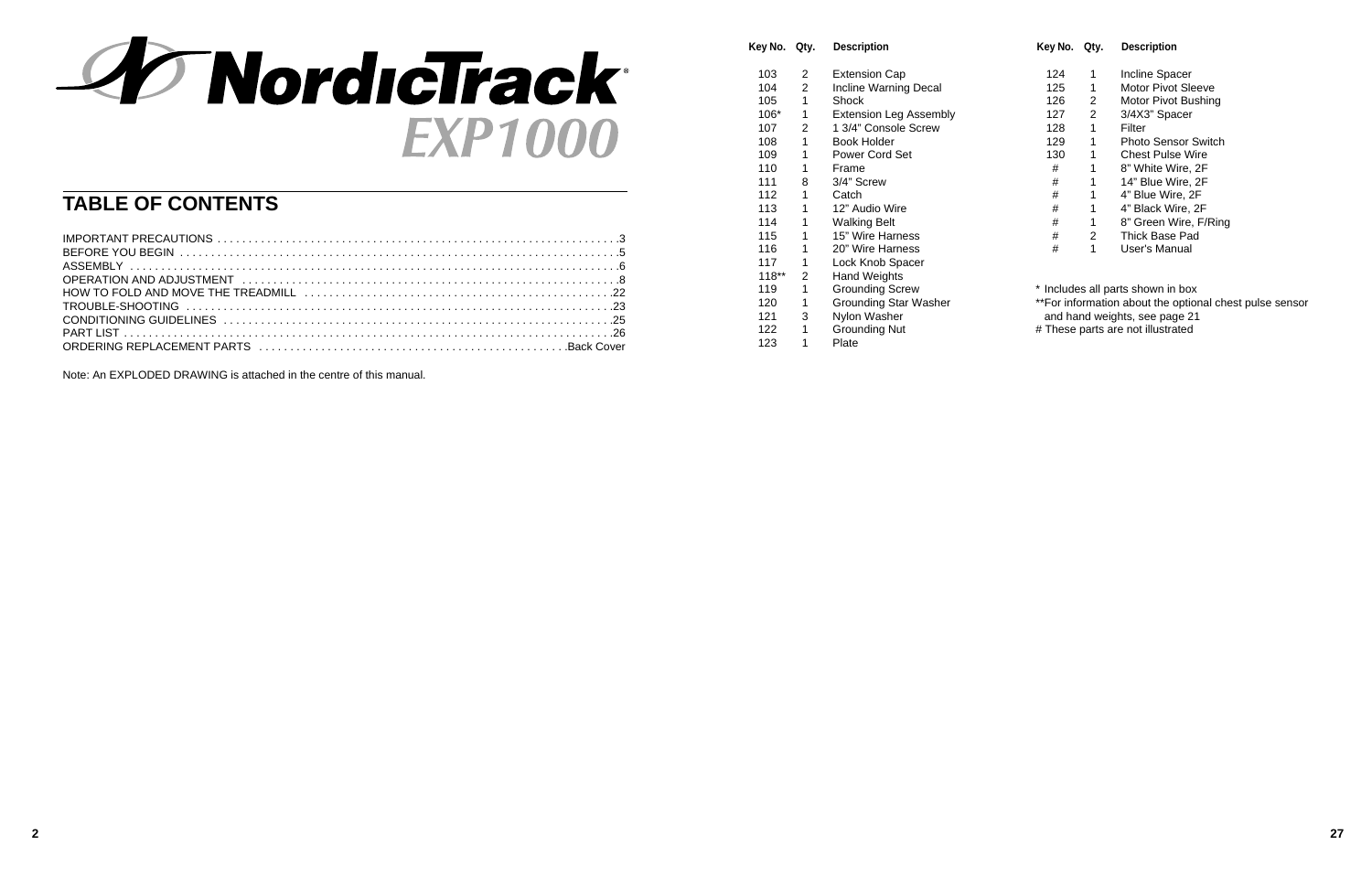

# **TABLE OF CONTENTS**

| ORDERING REPLACEMENT PARTS (international contract of the contract of the cover |  |
|---------------------------------------------------------------------------------|--|

\*\*For information about the optional chest pulse sensor and hand weights, see page 21

Note: An EXPLODED DRAWING is attached in the centre of this manual.

| Key No. Qty. |   | <b>Description</b>            | Key No. Qty. |   | <b>Description</b>             |
|--------------|---|-------------------------------|--------------|---|--------------------------------|
| 103          | 2 | <b>Extension Cap</b>          | 124          | 1 | Incline Spa                    |
| 104          | 2 | Incline Warning Decal         | 125          | 1 | <b>Motor Pivot</b>             |
| 105          | 1 | Shock                         | 126          | 2 | <b>Motor Pivot</b>             |
| $106*$       | 1 | <b>Extension Leg Assembly</b> | 127          | 2 | 3/4X3" Spa                     |
| 107          | 2 | 1 3/4" Console Screw          | 128          | 1 | Filter                         |
| 108          | 1 | Book Holder                   | 129          | 1 | <b>Photo Sens</b>              |
| 109          | 1 | Power Cord Set                | 130          | 1 | <b>Chest Puls</b>              |
| 110          | 1 | Frame                         | #            | 1 | 8" White W                     |
| 111          | 8 | 3/4" Screw                    | #            | 1 | 14" Blue W                     |
| 112          | 1 | Catch                         | #            | 1 | 4" Blue Wir                    |
| 113          | 1 | 12" Audio Wire                | #            | 1 | 4" Black W                     |
| 114          | 1 | <b>Walking Belt</b>           | #            | 1 | 8" Green W                     |
| 115          | 1 | 15" Wire Harness              | #            | 2 | <b>Thick Base</b>              |
| 116          | 1 | 20" Wire Harness              | #            | 1 | User's Man                     |
| 117          | 1 | Lock Knob Spacer              |              |   |                                |
| $118**$      | 2 | Hand Weights                  |              |   |                                |
| 119          | 1 | <b>Grounding Screw</b>        |              |   | * Includes all parts shown in  |
| 120          | 1 | <b>Grounding Star Washer</b>  |              |   | **For information about the o  |
| 121          | 3 | Nylon Washer                  |              |   | and hand weights, see pag      |
| 122          | 1 | <b>Grounding Nut</b>          |              |   | # These parts are not illustra |
| 123          | 1 | Plate                         |              |   |                                |

| Key No. | Qty.           | <b>Description</b>      |
|---------|----------------|-------------------------|
| 124     | 1              | <b>Incline Spacer</b>   |
| 125     | 1              | Motor Pivot Sleeve      |
| 126     | 2              | Motor Pivot Bushing     |
| 127     | $\overline{2}$ | 3/4X3" Spacer           |
| 128     | 1              | Filter                  |
| 129     | 1              | Photo Sensor Switch     |
| 130     | 1              | <b>Chest Pulse Wire</b> |
| #       | 1              | 8" White Wire, 2F       |
| #       | 1              | 14" Blue Wire, 2F       |
| #       | 1              | 4" Blue Wire, 2F        |
| #       | 1              | 4" Black Wire, 2F       |
| #       | 1              | 8" Green Wire, F/Ring   |
| #       | $\overline{2}$ | Thick Base Pad          |
| #       | 1              | User's Manual           |

\* Includes all parts shown in box

# These parts are not illustrated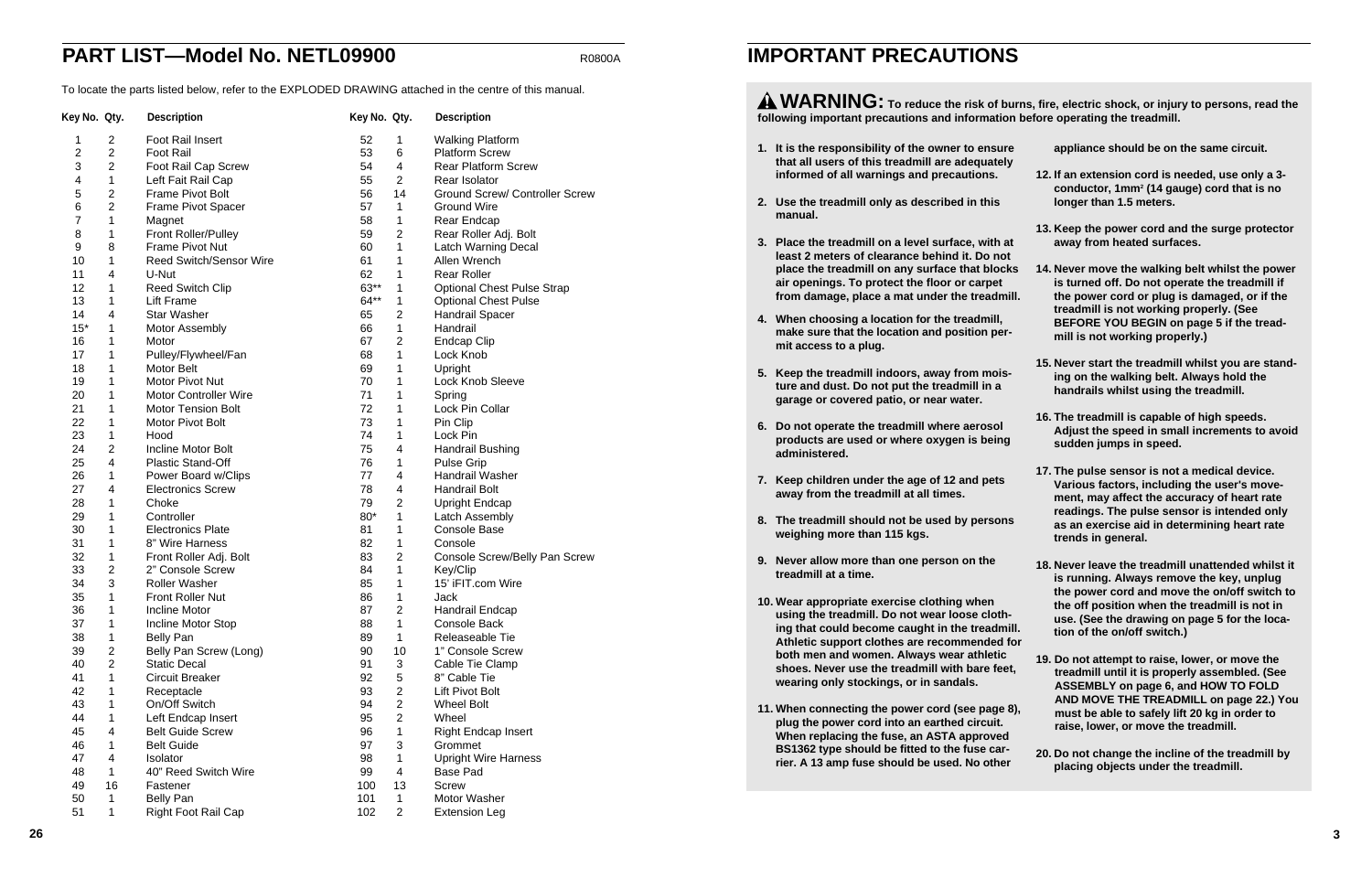- 1. It is the responsibility of the owner to ensur **that all users of this treadmill are adequately informed of all warnings and precautions.**
- **2. Use the treadmill only as described in this manual.**
- **3. Place the treadmill on a level surface, with at least 2 meters of clearance behind it. Do not place the treadmill on any surface that blocks air openings. To protect the floor or carpet** from damage, place a mat under the treadm
- **4. When choosing a location for the treadmill, make sure that the location and position permit access to a plug.**
- **5. Keep the treadmill indoors, away from moisture and dust. Do not put the treadmill in a garage or covered patio, or near water.**
- **6. Do not operate the treadmill where aerosol products are used or where oxygen is being administered.**
- **7. Keep children under the age of 12 and pets away from the treadmill at all times.**
- 8. The treadmill should not be used by person **weighing more than 115 kgs.**
- **9. Never allow more than one person on the treadmill at a time.**
- **10. Wear appropriate exercise clothing when using the treadmill. Do not wear loose cloth**ing that could become caught in the treadm **Athletic support clothes are recommended both men and women. Always wear athletic** shoes. Never use the treadmill with bare fee **wearing only stockings, or in sandals.**
- 11. When connecting the power cord (see page **plug the power cord into an earthed circuit. When replacing the fuse, an ASTA approved BS1362 type should be fitted to the fuse carrier. A 13 amp fuse should be used. No other**

**WARNING: To reduce the risk of burns, fire, electric shock, or injury to persons, read the** following important precautions and information

|                  | $m_{11}$ , $m_{21}$ creams shown, or injury to persons, read the<br>on before operating the treadmill.                                                                                                                                                                           |
|------------------|----------------------------------------------------------------------------------------------------------------------------------------------------------------------------------------------------------------------------------------------------------------------------------|
| e<br>y           | appliance should be on the same circuit.                                                                                                                                                                                                                                         |
|                  | 12. If an extension cord is needed, use only a 3-<br>conductor, 1mm <sup>2</sup> (14 gauge) cord that is no<br>longer than 1.5 meters.                                                                                                                                           |
| at<br>t.         | 13. Keep the power cord and the surge protector<br>away from heated surfaces.                                                                                                                                                                                                    |
| ks<br>ill.<br>r- | 14. Never move the walking belt whilst the power<br>is turned off. Do not operate the treadmill if<br>the power cord or plug is damaged, or if the<br>treadmill is not working properly. (See<br>BEFORE YOU BEGIN on page 5 if the tread-<br>mill is not working properly.)      |
| i-               | 15. Never start the treadmill whilst you are stand-<br>ing on the walking belt. Always hold the<br>handrails whilst using the treadmill.                                                                                                                                         |
| g                | 16. The treadmill is capable of high speeds.<br>Adjust the speed in small increments to avoid<br>sudden jumps in speed.                                                                                                                                                          |
| IS               | 17. The pulse sensor is not a medical device.<br>Various factors, including the user's move-<br>ment, may affect the accuracy of heart rate<br>readings. The pulse sensor is intended only<br>as an exercise aid in determining heart rate<br>trends in general.                 |
| E<br>ill.<br>for | 18. Never leave the treadmill unattended whilst it<br>is running. Always remove the key, unplug<br>the power cord and move the on/off switch to<br>the off position when the treadmill is not in<br>use. (See the drawing on page 5 for the loca-<br>tion of the on/off switch.) |
| et,<br>8),<br>ł  | 19. Do not attempt to raise, lower, or move the<br>treadmill until it is properly assembled. (See<br>ASSEMBLY on page 6, and HOW TO FOLD<br>AND MOVE THE TREADMILL on page 22.) You<br>must be able to safely lift 20 kg in order to<br>raise, lower, or move the treadmill.     |
| r                | 20. Do not change the incline of the treadmill by<br>placing objects under the treadmill.                                                                                                                                                                                        |
|                  |                                                                                                                                                                                                                                                                                  |

# **IMPORTANT PRECAUTIONS**

# **PART LIST—Model No. NETL09900** R0800A

To locate the parts listed below, refer to the EXPLODED DRAWING attached in the centre of this manual.

| Key No. Qty.   |                | <b>Description</b>             | Key No. Qty. |                         | <b>Description</b>                    |
|----------------|----------------|--------------------------------|--------------|-------------------------|---------------------------------------|
| 1              | $\overline{2}$ | Foot Rail Insert               | 52           | 1                       | <b>Walking Platform</b>               |
| $\overline{2}$ | $\overline{2}$ | Foot Rail                      | 53           | 6                       | <b>Platform Screw</b>                 |
| 3              | $\overline{c}$ | Foot Rail Cap Screw            | 54           | 4                       | <b>Rear Platform Screw</b>            |
| 4              | 1              | Left Fait Rail Cap             | 55           | $\overline{2}$          | Rear Isolator                         |
| 5              | $\mathbf{2}$   | Frame Pivot Bolt               | 56           | 14                      | <b>Ground Screw/ Controller Screw</b> |
| 6              | $\overline{c}$ | Frame Pivot Spacer             | 57           | $\mathbf{1}$            | <b>Ground Wire</b>                    |
| 7              | 1              | Magnet                         | 58           | 1                       | Rear Endcap                           |
| 8              | 1              | Front Roller/Pulley            | 59           | $\overline{2}$          | Rear Roller Adj. Bolt                 |
| 9              | 8              | Frame Pivot Nut                | 60           | 1                       | <b>Latch Warning Decal</b>            |
| 10             | 1              | <b>Reed Switch/Sensor Wire</b> | 61           | 1                       | Allen Wrench                          |
| 11             | 4              | U-Nut                          | 62           | 1                       | <b>Rear Roller</b>                    |
| 12             | 1              | Reed Switch Clip               | 63**         | 1                       | <b>Optional Chest Pulse Strap</b>     |
| 13             | 1              | <b>Lift Frame</b>              | 64**         | 1                       | <b>Optional Chest Pulse</b>           |
| 14             | 4              | <b>Star Washer</b>             | 65           | $\overline{2}$          | Handrail Spacer                       |
| $15*$          | 1              | <b>Motor Assembly</b>          | 66           | $\mathbf{1}$            | Handrail                              |
| 16             | 1              | Motor                          | 67           | $\overline{2}$          | <b>Endcap Clip</b>                    |
| 17             | 1              | Pulley/Flywheel/Fan            | 68           | 1                       | Lock Knob                             |
| 18             | 1              | Motor Belt                     | 69           | 1                       | Upright                               |
| 19             | 1              | <b>Motor Pivot Nut</b>         | 70           | 1                       | Lock Knob Sleeve                      |
| 20             | 1              | <b>Motor Controller Wire</b>   | 71           | 1                       | Spring                                |
| 21             | 1              | <b>Motor Tension Bolt</b>      | 72           | 1                       | Lock Pin Collar                       |
| 22             | 1              | Motor Pivot Bolt               | 73           | 1                       | Pin Clip                              |
| 23             | 1              | Hood                           | 74           | 1                       | Lock Pin                              |
| 24             | $\overline{c}$ | Incline Motor Bolt             | 75           | 4                       | Handrail Bushing                      |
| 25             | 4              | Plastic Stand-Off              | 76           | 1                       | <b>Pulse Grip</b>                     |
| 26             | 1              | Power Board w/Clips            | 77           | 4                       | Handrail Washer                       |
| 27             | 4              | <b>Electronics Screw</b>       | 78           | 4                       | Handrail Bolt                         |
| 28             | 1              | Choke                          | 79           | $\overline{2}$          | <b>Upright Endcap</b>                 |
| 29             | 1              | Controller                     | 80*          | 1                       | Latch Assembly                        |
| 30             | 1              | <b>Electronics Plate</b>       | 81           | 1                       | <b>Console Base</b>                   |
| 31             | 1              | 8" Wire Harness                | 82           | 1                       | Console                               |
| 32             | 1              | Front Roller Adj. Bolt         | 83           | $\overline{2}$          | Console Screw/Belly Pan Screw         |
| 33             | $\overline{c}$ | 2" Console Screw               | 84           | 1                       | Key/Clip                              |
| 34             | 3              | <b>Roller Washer</b>           | 85           | 1                       | 15' iFIT.com Wire                     |
| 35             | 1              | <b>Front Roller Nut</b>        | 86           | 1                       | Jack                                  |
| 36             | 1              | <b>Incline Motor</b>           | 87           | $\overline{\mathbf{c}}$ | Handrail Endcap                       |
| 37             | 1              | Incline Motor Stop             | 88           | $\mathbf{1}$            | Console Back                          |
| 38             | $\mathbf{1}$   | <b>Belly Pan</b>               | 89           | $\mathbf{1}$            | Releaseable Tie                       |
| 39             | $\mathbf{2}$   | Belly Pan Screw (Long)         | 90           | 10                      | 1" Console Screw                      |
| 40             | $\overline{2}$ | <b>Static Decal</b>            | 91           | 3                       | Cable Tie Clamp                       |
| 41             | 1              | <b>Circuit Breaker</b>         | 92           | 5                       | 8" Cable Tie                          |
| 42             | 1              |                                | 93           | $\overline{c}$          | Lift Pivot Bolt                       |
| 43             | 1              | Receptacle<br>On/Off Switch    | 94           | $\overline{2}$          | <b>Wheel Bolt</b>                     |
| 44             |                |                                | 95           | $\overline{2}$          |                                       |
|                | 1              | Left Endcap Insert             |              | $\mathbf{1}$            | Wheel                                 |
| 45             | 4              | <b>Belt Guide Screw</b>        | 96           |                         | <b>Right Endcap Insert</b>            |
| 46             | $\mathbf{1}$   | <b>Belt Guide</b>              | 97           | 3                       | Grommet                               |
| 47             | 4              | <b>Isolator</b>                | 98           | 1                       | <b>Upright Wire Harness</b>           |
| 48             | $\mathbf{1}$   | 40" Reed Switch Wire           | 99           | 4                       | <b>Base Pad</b>                       |
| 49             | 16             | Fastener                       | 100          | 13                      | <b>Screw</b>                          |
| 50             | $\mathbf{1}$   | <b>Belly Pan</b>               | 101          | $\mathbf{1}$            | Motor Washer                          |
| 51             | 1              | Right Foot Rail Cap            | 102          | $\overline{c}$          | <b>Extension Leg</b>                  |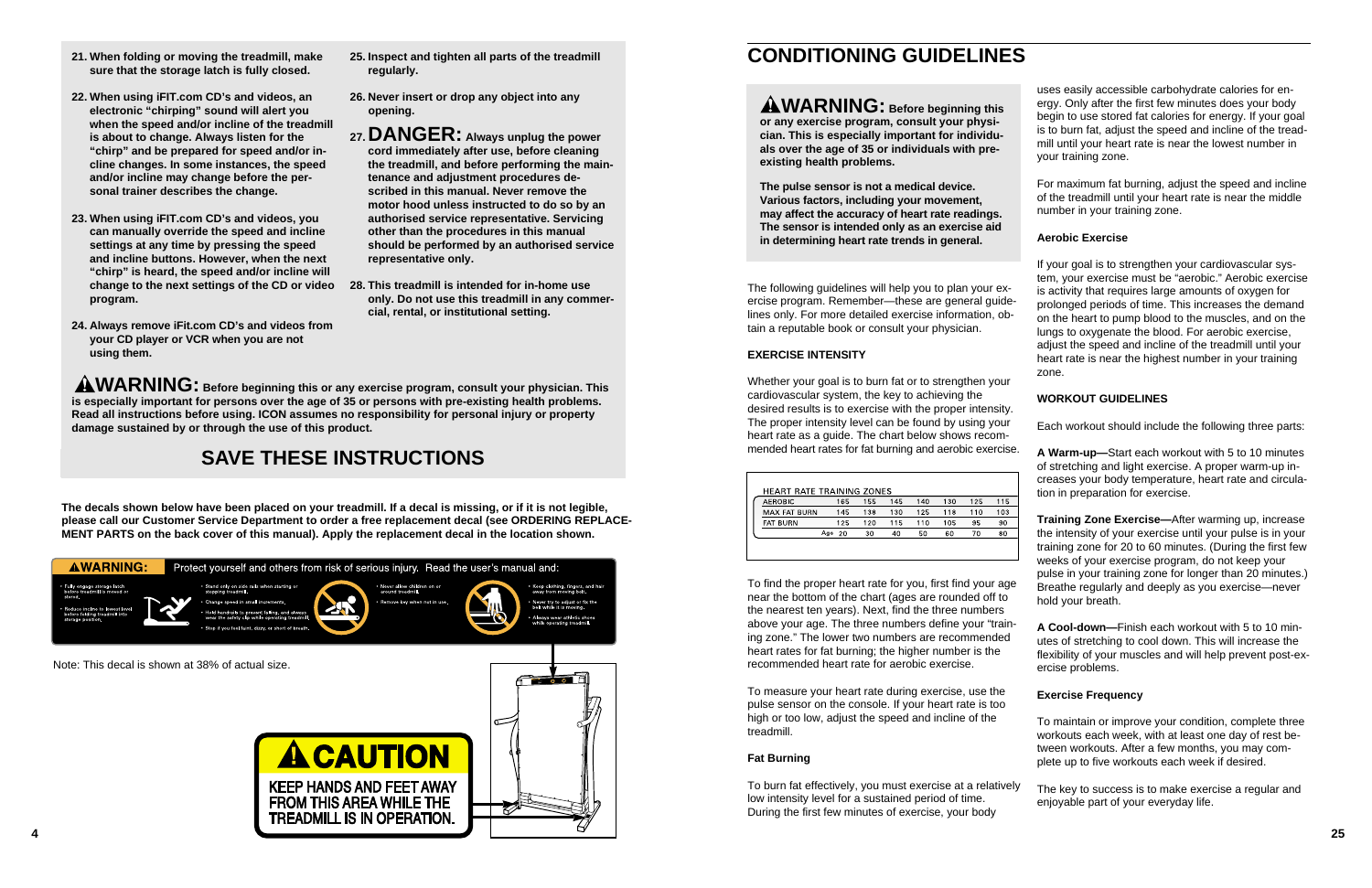- **21. When folding or moving the treadmill, make sure that the storage latch is fully closed.**
- **22. When using iFIT.com CD's and videos, an electronic "chirping" sound will alert you when the speed and/or incline of the treadmill is about to change. Always listen for the "chirp" and be prepared for speed and/or incline changes. In some instances, the speed and/or incline may change before the personal trainer describes the change.**
- **23. When using iFIT.com CD's and videos, you can manually override the speed and incline settings at any time by pressing the speed and incline buttons. However, when the next "chirp" is heard, the speed and/or incline will change to the next settings of the CD or video 28. This treadmill is intended for in-home use program.**
- **24. Always remove iFit.com CD's and videos from your CD player or VCR when you are not using them.**

**AWARNING:** Before beginning this or any exercise program, consult your physician. This **is especially important for persons over the age of 35 or persons with pre-existing health problems. Read all instructions before using. ICON assumes no responsibility for personal injury or property damage sustained by or through the use of this product.**



- **25. Inspect and tighten all parts of the treadmill regularly.**
- **26. Never insert or drop any object into any opening.**
- **27.DANGER: Always unplug the power cord immediately after use, before cleaning the treadmill, and before performing the maintenance and adjustment procedures described in this manual. Never remove the motor hood unless instructed to do so by an authorised service representative. Servicing other than the procedures in this manual should be performed by an authorised service representative only.**
- **only. Do not use this treadmill in any commercial, rental, or institutional setting.**

# **SAVE THESE INSTRUCTIONS**

# **CONDITIONING GUIDELINES**

The following guidelines will help you to plan your exercise program. Remember—these are general guidelines only. For more detailed exercise information, obtain a reputable book or consult your physician.

### **EXERCISE INTENSITY**

Whether your goal is to burn fat or to strengthen your cardiovascular system, the key to achieving the desired results is to exercise with the proper intensity. The proper intensity level can be found by using your heart rate as a guide. The chart below shows recommended heart rates for fat burning and aerobic exercise.

| <b>HEART RATE TRAINING ZONES</b> |     |     |     |     |     |     |     |     |
|----------------------------------|-----|-----|-----|-----|-----|-----|-----|-----|
| <b>AEROBIC</b>                   |     | 165 | 155 | 145 | 140 | 130 | 125 | 115 |
| <b>MAX FAT BURN</b>              |     | 145 | 138 | 130 | 125 | 118 | 110 | 103 |
| <b>FAT BURN</b>                  |     | 125 | 120 | 115 | 110 | 105 | 95  | 90  |
|                                  | Age | 20  | 30  | 40  | 50  | 60  | 70  | 80  |
|                                  |     |     |     |     |     |     |     |     |

To find the proper heart rate for you, first find your age near the bottom of the chart (ages are rounded off to the nearest ten years). Next, find the three numbers above your age. The three numbers define your "training zone." The lower two numbers are recommended heart rates for fat burning; the higher number is the recommended heart rate for aerobic exercise.

To measure your heart rate during exercise, use the pulse sensor on the console. If your heart rate is too high or too low, adjust the speed and incline of the treadmill.

### **Fat Burning**

To burn fat effectively, you must exercise at a relatively low intensity level for a sustained period of time. During the first few minutes of exercise, your body

uses easily accessible carbohydrate calories for energy. Only after the first few minutes does your body begin to use stored fat calories for energy. If your goal is to burn fat, adjust the speed and incline of the treadmill until your heart rate is near the lowest number in your training zone.

For maximum fat burning, adjust the speed and incline of the treadmill until your heart rate is near the middle number in your training zone.

### **Aerobic Exercise**

If your goal is to strengthen your cardiovascular system, your exercise must be "aerobic." Aerobic exercise is activity that requires large amounts of oxygen for prolonged periods of time. This increases the demand on the heart to pump blood to the muscles, and on the lungs to oxygenate the blood. For aerobic exercise, adjust the speed and incline of the treadmill until your heart rate is near the highest number in your training zone.

### **WORKOUT GUIDELINES**

Each workout should include the following three parts:

**A Warm-up—**Start each workout with 5 to 10 minutes of stretching and light exercise. A proper warm-up increases your body temperature, heart rate and circulation in preparation for exercise.

**Training Zone Exercise—**After warming up, increase the intensity of your exercise until your pulse is in your training zone for 20 to 60 minutes. (During the first few weeks of your exercise program, do not keep your pulse in your training zone for longer than 20 minutes.) Breathe regularly and deeply as you exercise—never hold your breath.

**A Cool-down—**Finish each workout with 5 to 10 minutes of stretching to cool down. This will increase the flexibility of your muscles and will help prevent post-exercise problems.

### **Exercise Frequency**

To maintain or improve your condition, complete three workouts each week, with at least one day of rest between workouts. After a few months, you may complete up to five workouts each week if desired.

The key to success is to make exercise a regular and enjoyable part of your everyday life.



**WARNING: Before beginning this or any exercise program, consult your physician. This is especially important for individuals over the age of 35 or individuals with preexisting health problems.**

**The pulse sensor is not a medical device. Various factors, including your movement, may affect the accuracy of heart rate readings. The sensor is intended only as an exercise aid in determining heart rate trends in general.**

**The decals shown below have been placed on your treadmill. If a decal is missing, or if it is not legible, please call our Customer Service Department to order a free replacement decal (see ORDERING REPLACE-MENT PARTS on the back cover of this manual). Apply the replacement decal in the location shown.**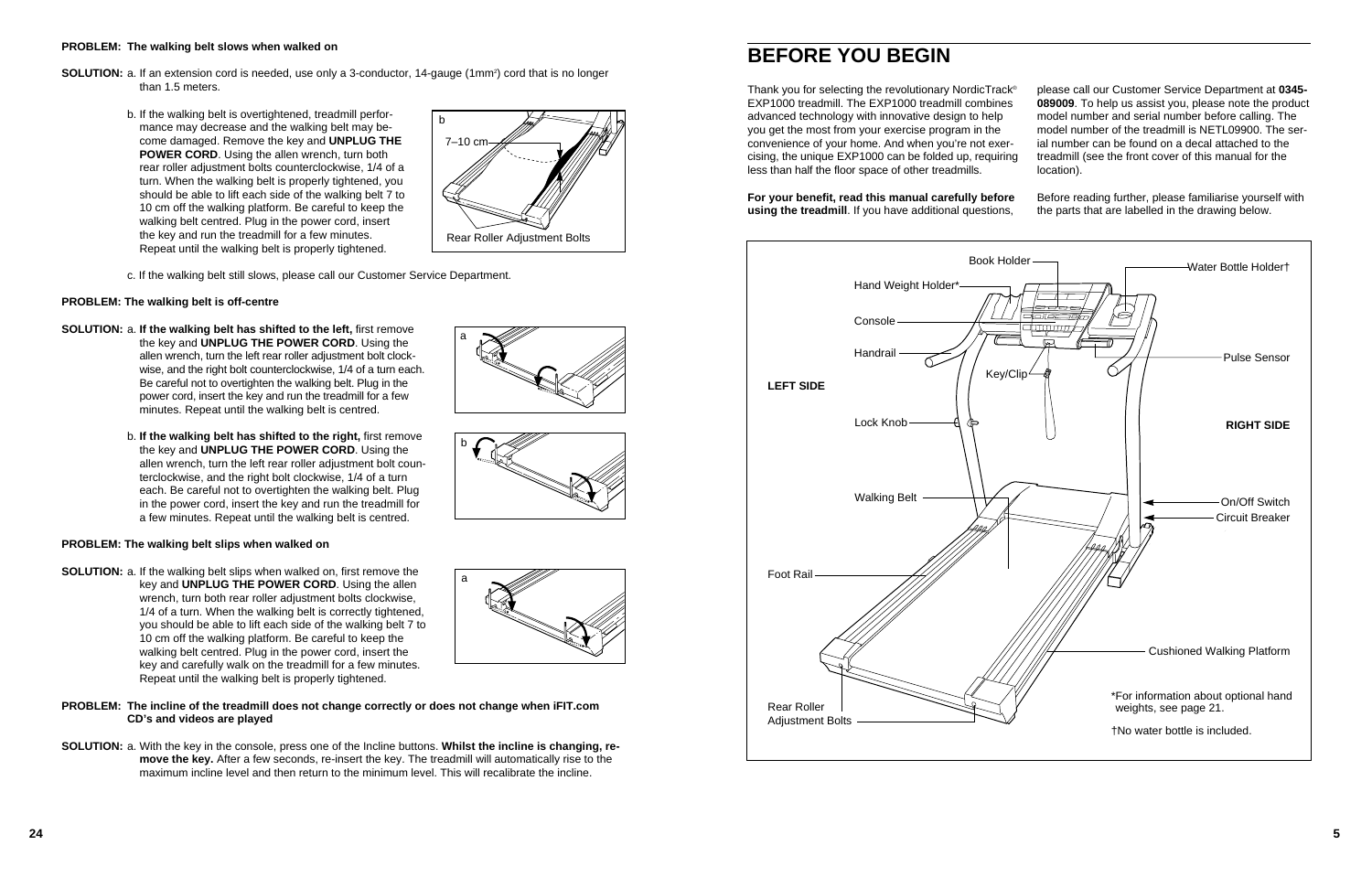Thank you for selecting the revolutionary NordicTrack® EXP1000 treadmill. The EXP1000 treadmill combines advanced technology with innovative design to help you get the most from your exercise program in the convenience of your home. And when you're not exercising, the unique EXP1000 can be folded up, requiring less than half the floor space of other treadmills. please call our Customer Service Department at **0345- 089009**. To help us assist you, please note the product model number and serial number before calling. The model number of the treadmill is NETL09900. The serial number can be found on a decal attached to the treadmill (see the front cover of this manual for the location).

### **For your benefit, read this manual carefully before using the treadmill**. If you have additional questions,

Before reading further, please familiarise yourself with the parts that are labelled in the drawing below.

# **BEFORE YOU BEGIN**

- **SOLUTION:** a. If an extension cord is needed, use only a 3-conductor, 14-gauge (1mm<sup>2</sup>) cord that is no longer than 1.5 meters.
	- b. If the walking belt is overtightened, treadmill performance may decrease and the walking belt may become damaged. Remove the key and **UNPLUG THE POWER CORD.** Using the allen wrench, turn both rear roller adjustment bolts counterclockwise, 1/4 of a turn. When the walking belt is properly tightened, you should be able to lift each side of the walking belt 7 to 10 cm off the walking platform. Be careful to keep the walking belt centred. Plug in the power cord, insert the key and run the treadmill for a few minutes. Repeat until the walking belt is properly tightened.



### **PROBLEM: The walking belt slows when walked on**

c. If the walking belt still slows, please call our Customer Service Department.

### **PROBLEM: The walking belt is off-centre**

- **SOLUTION:** a. **If the walking belt has shifted to the left,** first remove the key and **UNPLUG THE POWER CORD**. Using the allen wrench, turn the left rear roller adjustment bolt clockwise, and the right bolt counterclockwise, 1/4 of a turn each. Be careful not to overtighten the walking belt. Plug in the power cord, insert the key and run the treadmill for a few minutes. Repeat until the walking belt is centred.
	- b. **If the walking belt has shifted to the right,** first remove the key and **UNPLUG THE POWER CORD**. Using the allen wrench, turn the left rear roller adjustment bolt counterclockwise, and the right bolt clockwise, 1/4 of a turn each. Be careful not to overtighten the walking belt. Plug in the power cord, insert the key and run the treadmill for a few minutes. Repeat until the walking belt is centred.

### **PROBLEM: The walking belt slips when walked on**

- **SOLUTION:** a. If the walking belt slips when walked on, first remove the key and **UNPLUG THE POWER CORD**. Using the allen wrench, turn both rear roller adjustment bolts clockwise, 1/4 of a turn. When the walking belt is correctly tightened, you should be able to lift each side of the walking belt 7 to 10 cm off the walking platform. Be careful to keep the walking belt centred. Plug in the power cord, insert the key and carefully walk on the treadmill for a few minutes. Repeat until the walking belt is properly tightened.
- **PROBLEM: The incline of the treadmill does not change correctly or does not change when iFIT.com CD's and videos are played**
- **SOLUTION:** a. With the key in the console, press one of the Incline buttons. **Whilst the incline is changing, remove the key.** After a few seconds, re-insert the key. The treadmill will automatically rise to the maximum incline level and then return to the minimum level. This will recalibrate the incline.



# a



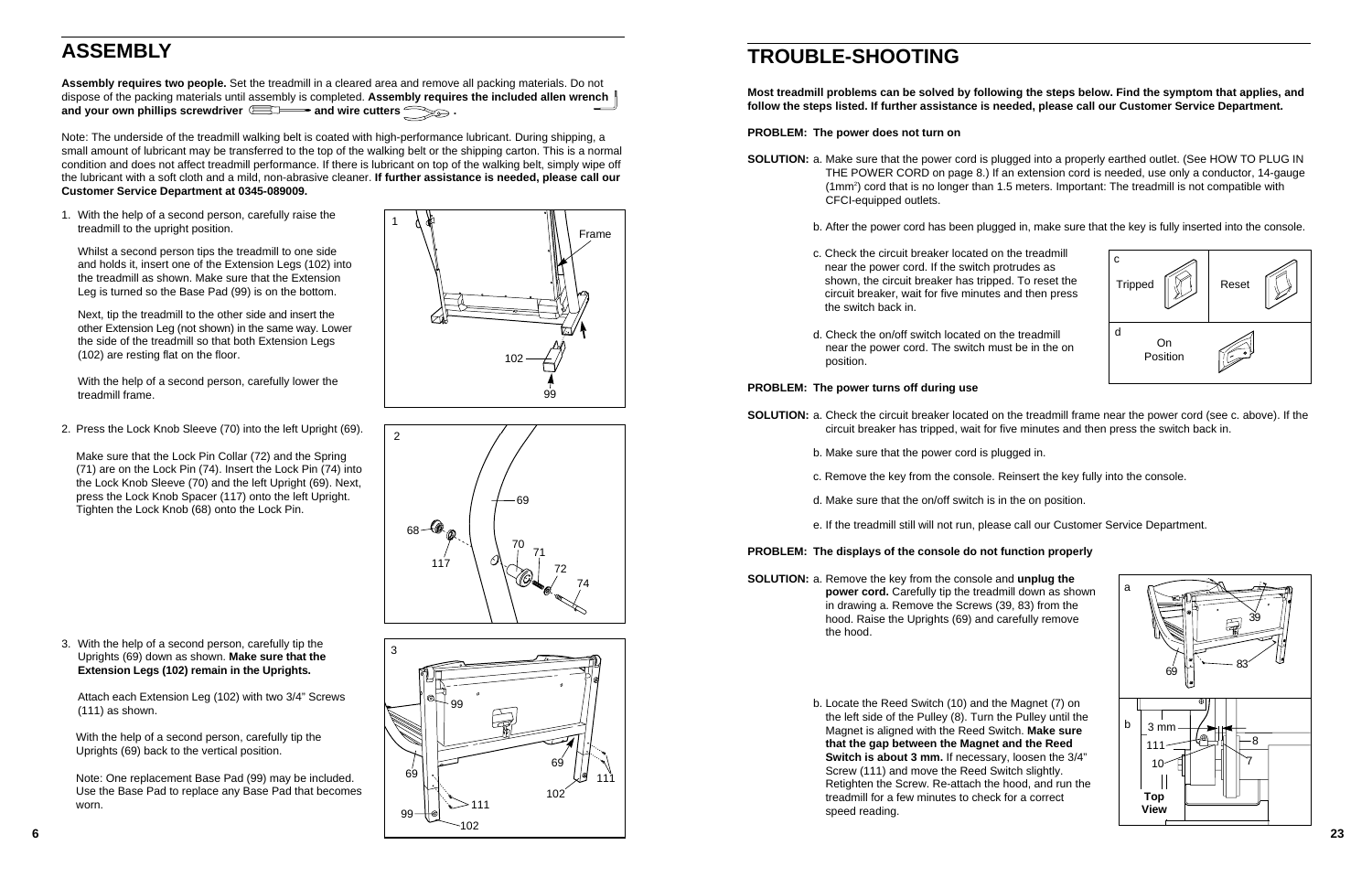**Assembly requires two people.** Set the treadmill in a cleared area and remove all packing materials. Do not dispose of the packing materials until assembly is completed. **Assembly requires the included allen wrench** and your own phillips screwdriver **ED** and wire cutters and your own phillips screwdriver

# **ASSEMBLY**

Note: The underside of the treadmill walking belt is coated with high-performance lubricant. During shipping, a small amount of lubricant may be transferred to the top of the walking belt or the shipping carton. This is a normal condition and does not affect treadmill performance. If there is lubricant on top of the walking belt, simply wipe off the lubricant with a soft cloth and a mild, non-abrasive cleaner. **If further assistance is needed, please call our Customer Service Department at 0345-089009.**

1. With the help of a second person, carefully raise the treadmill to the upright position.

**SOLUTION:** a. Make sure that the power cord is plugged into a properly earthed outlet. (See HOW TO PLUG IN THE POWER CORD on page 8.) If an extension cord is needed, use only a conductor, 14-gauge (1mm2) cord that is no longer than 1.5 meters. Important: The treadmill is not compatible with

Whilst a second person tips the treadmill to one side and holds it, insert one of the Extension Legs (102) into the treadmill as shown. Make sure that the Extension Leg is turned so the Base Pad (99) is on the bottom.

Next, tip the treadmill to the other side and insert the other Extension Leg (not shown) in the same way. Lower the side of the treadmill so that both Extension Legs (102) are resting flat on the floor.

With the help of a second person, carefully lower the treadmill frame.

1



### **Most treadmill problems can be solved by following the steps below. Find the symptom that applies, and follow the steps listed. If further assistance is needed, please call our Customer Service Department.**

**PROBLEM: The power does not turn on**

b. After the power cord has been plugged in, make sure that the key is fully inserted into the console.

- CFCI-equipped outlets.
	-
	- c. Check the circuit breaker located on the treadmill near the power cord. If the switch protrudes as shown, the circuit breaker has tripped. To reset the circuit breaker, wait for five minutes and then press the switch back in.
	- d. Check the on/off switch located on the treadmill near the power cord. The switch must be in the on position.



### **PROBLEM: The power turns off during use**

**SOLUTION:** a. Check the circuit breaker located on the treadmill frame near the power cord (see c. above). If the circuit breaker has tripped, wait for five minutes and then press the switch back in.

- - b. Make sure that the power cord is plugged in.
	- c. Remove the key from the console. Reinsert the key fully into the console.
	- d. Make sure that the on/off switch is in the on position.
	-

e. If the treadmill still will not run, please call our Customer Service Department.

### **PROBLEM: The displays of the console do not function properly**

**SOLUTION:** a. Remove the key from the console and **unplug the power cord.** Carefully tip the treadmill down as shown in drawing a. Remove the Screws (39, 83) from the hood. Raise the Uprights (69) and carefully remove the hood.

> b. Locate the Reed Switch (10) and the Magnet (7) on the left side of the Pulley (8). Turn the Pulley until the Magnet is aligned with the Reed Switch. **Make sure that the gap between the Magnet and the Reed Switch is about 3 mm.** If necessary, loosen the 3/4" Screw (111) and move the Reed Switch slightly. Retighten the Screw. Re-attach the hood, and run the treadmill for a few minutes to check for a correct speed reading.







Frame

102

99

2. Press the Lock Knob Sleeve (70) into the left Upright (69).

Make sure that the Lock Pin Collar (72) and the Spring (71) are on the Lock Pin (74). Insert the Lock Pin (74) into the Lock Knob Sleeve (70) and the left Upright (69). Next, press the Lock Knob Spacer (117) onto the left Upright. Tighten the Lock Knob (68) onto the Lock Pin.

69

117

 $68 - 60$ 

70

71

72

74

2

3. With the help of a second person, carefully tip the Uprights (69) down as shown. **Make sure that the Extension Legs (102) remain in the Uprights.** 

Attach each Extension Leg (102) with two 3/4" Screws (111) as shown.

With the help of a second person, carefully tip the Uprights (69) back to the vertical position.

Note: One replacement Base Pad (99) may be included. Use the Base Pad to replace any Base Pad that becomes worn. 111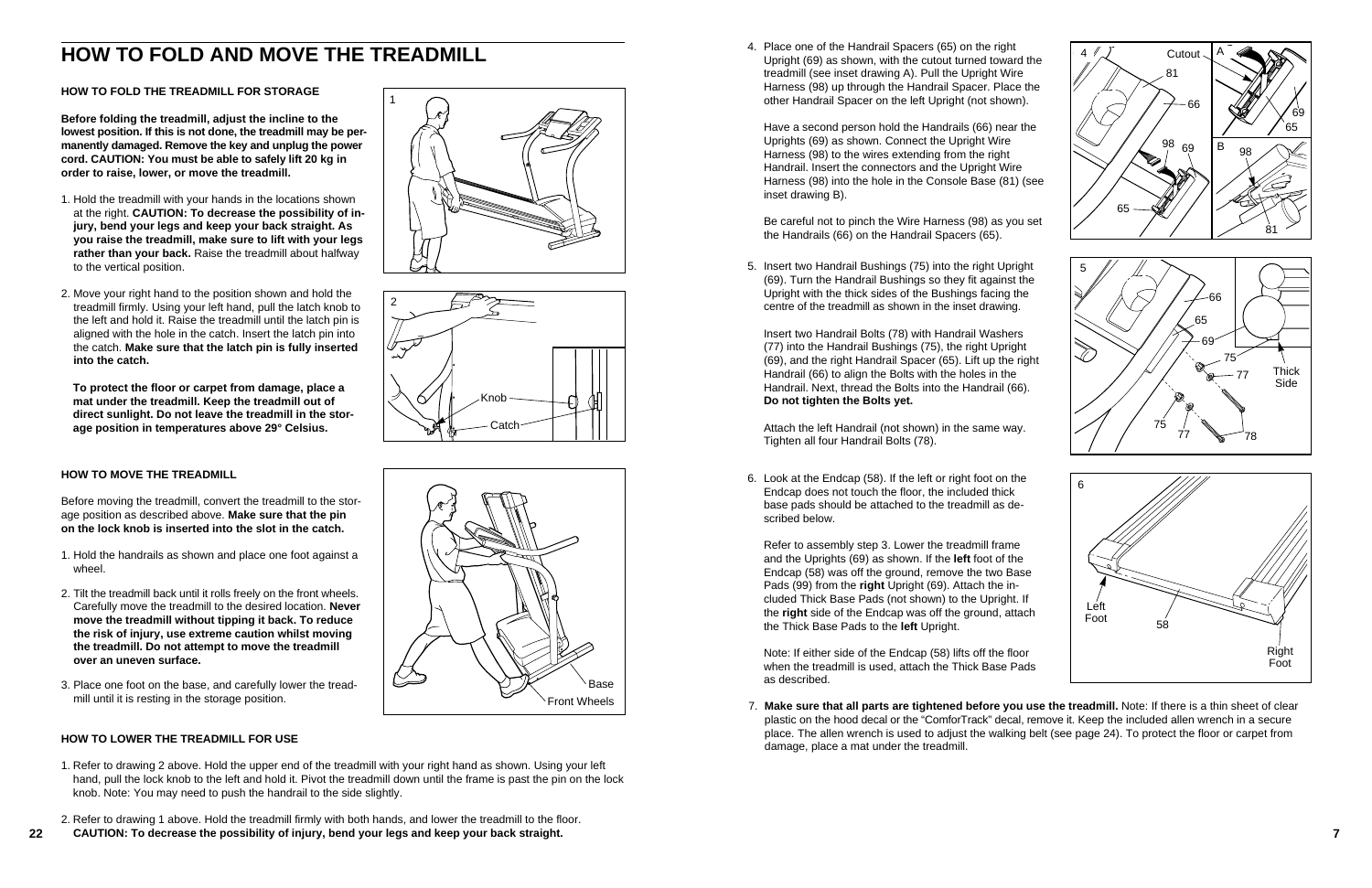7. **Make sure that all parts are tightened before you use the treadmill.** Note: If there is a thin sheet of clear plastic on the hood decal or the "ComforTrack" decal, remove it. Keep the included allen wrench in a secure place. The allen wrench is used to adjust the walking belt (see page 24). To protect the floor or carpet from

damage, place a mat under the treadmill.

5. Insert two Handrail Bushings (75) into the right Upright (69). Turn the Handrail Bushings so they fit against the Upright with the thick sides of the Bushings facing the centre of the treadmill as shown in the inset drawing.

Insert two Handrail Bolts (78) with Handrail Washers (77) into the Handrail Bushings (75), the right Upright (69), and the right Handrail Spacer (65). Lift up the right Handrail (66) to align the Bolts with the holes in the Handrail. Next, thread the Bolts into the Handrail (66). **Do not tighten the Bolts yet.**

Attach the left Handrail (not shown) in the same way. Tighten all four Handrail Bolts (78).

6. Look at the Endcap (58). If the left or right foot on the Endcap does not touch the floor, the included thick base pads should be attached to the treadmill as described below.

Refer to assembly step 3. Lower the treadmill frame and the Uprights (69) as shown. If the **left** foot of the Endcap (58) was off the ground, remove the two Base Pads (99) from the **right** Upright (69). Attach the included Thick Base Pads (not shown) to the Upright. If the **right** side of the Endcap was off the ground, attach the Thick Base Pads to the **left** Upright.

Note: If either side of the Endcap (58) lifts off the floor when the treadmill is used, attach the Thick Base Pads as described.

# **HOW TO FOLD AND MOVE THE TREADMILL**

### **HOW TO FOLD THE TREADMILL FOR STORAGE**

**Before folding the treadmill, adjust the incline to the lowest position. If this is not done, the treadmill may be permanently damaged. Remove the key and unplug the power cord. CAUTION: You must be able to safely lift 20 kg in order to raise, lower, or move the treadmill.** 

- 1. Hold the treadmill with your hands in the locations shown at the right. **CAUTION: To decrease the possibility of injury, bend your legs and keep your back straight. As you raise the treadmill, make sure to lift with your legs rather than your back.** Raise the treadmill about halfway to the vertical position.
- 2. Move your right hand to the position shown and hold the treadmill firmly. Using your left hand, pull the latch knob to the left and hold it. Raise the treadmill until the latch pin is aligned with the hole in the catch. Insert the latch pin into the catch. **Make sure that the latch pin is fully inserted into the catch.**

**To protect the floor or carpet from damage, place a mat under the treadmill. Keep the treadmill out of direct sunlight. Do not leave the treadmill in the storage position in temperatures above 29° Celsius.**

### **HOW TO MOVE THE TREADMILL**

Before moving the treadmill, convert the treadmill to the storage position as described above. **Make sure that the pin on the lock knob is inserted into the slot in the catch.** 



- 1. Hold the handrails as shown and place one foot against a wheel.
- 2. Tilt the treadmill back until it rolls freely on the front wheels. Carefully move the treadmill to the desired location. **Never move the treadmill without tipping it back. To reduce the risk of injury, use extreme caution whilst moving the treadmill. Do not attempt to move the treadmill over an uneven surface.**
- 3. Place one foot on the base, and carefully lower the treadmill until it is resting in the storage position.

### **HOW TO LOWER THE TREADMILL FOR USE**

- 1. Refer to drawing 2 above. Hold the upper end of the treadmill with your right hand as shown. Using your left hand, pull the lock knob to the left and hold it. Pivot the treadmill down until the frame is past the pin on the lock knob. Note: You may need to push the handrail to the side slightly.
- 2. Refer to drawing 1 above. Hold the treadmill firmly with both hands, and lower the treadmill to the floor.
- **22 7 CAUTION: To decrease the possibility of injury, bend your legs and keep your back straight.**







4. Place one of the Handrail Spacers (65) on the right Upright (69) as shown, with the cutout turned toward the treadmill (see inset drawing A). Pull the Upright Wire Harness (98) up through the Handrail Spacer. Place the other Handrail Spacer on the left Upright (not shown).

Have a second person hold the Handrails (66) near the Uprights (69) as shown. Connect the Upright Wire Harness (98) to the wires extending from the right Handrail. Insert the connectors and the Upright Wire Harness (98) into the hole in the Console Base (81) (see inset drawing B).

Be careful not to pinch the Wire Harness (98) as you set the Handrails (66) on the Handrail Spacers (65).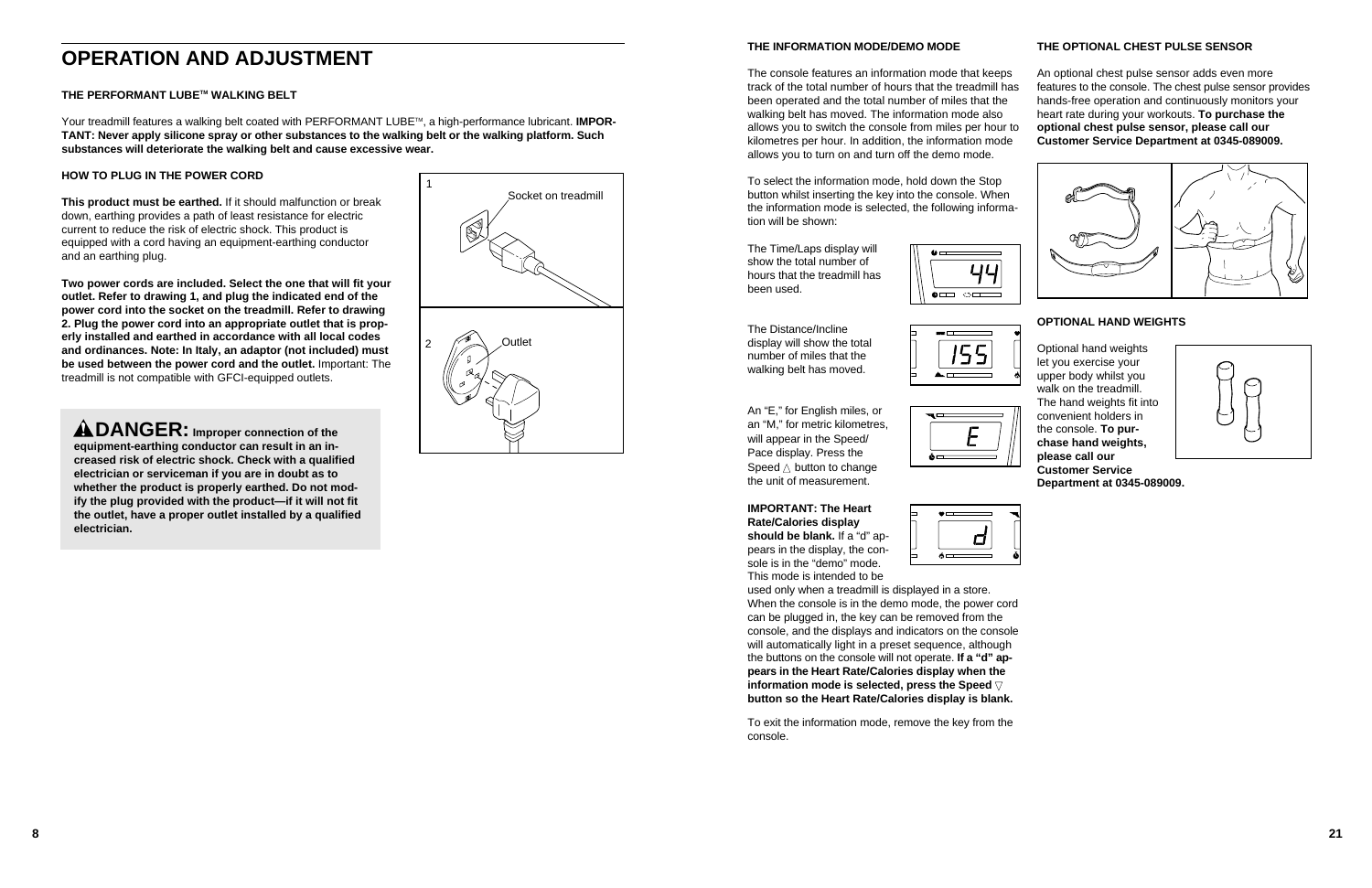**8 21**

### **THE INFORMATION MODE/DEMO MODE**

To select the information mode, hold down the Stop button whilst inserting the key into the console. When the information mode is selected, the following information will be shown:

The Time/Laps display will show the total number of hours that the treadmill has been used.



The Distance/Incline display will show the total number of miles that the walking belt has moved.



An "E," for English miles, or an "M," for metric kilometres, will appear in the Speed/ Pace display. Press the Speed  $\triangle$  button to change the unit of measurement.

ĀH

The console features an information mode that keeps track of the total number of hours that the treadmill has been operated and the total number of miles that the walking belt has moved. The information mode also allows you to switch the console from miles per hour to kilometres per hour. In addition, the information mode allows you to turn on and turn off the demo mode. An optional chest pulse sensor adds even more features to the console. The chest pulse sensor provides hands-free operation and continuously monitors your heart rate during your workouts. **To purchase the optional chest pulse sensor, please call our Customer Service Department at 0345-089009.**

**IMPORTANT: The Heart Rate/Calories display should be blank.** If a "d" appears in the display, the console is in the "demo" mode. This mode is intended to be

| $\bullet$ $\hspace{0.05cm}$ $\hspace{0.05cm}$ |
|-----------------------------------------------|
|                                               |
|                                               |
| க்—<br>___                                    |

Your treadmill features a walking belt coated with PERFORMANT LUBE<sup>TM</sup>, a high-performance lubricant. **IMPOR-TANT: Never apply silicone spray or other substances to the walking belt or the walking platform. Such substances will deteriorate the walking belt and cause excessive wear.**

> used only when a treadmill is displayed in a store. When the console is in the demo mode, the power cord can be plugged in, the key can be removed from the console, and the displays and indicators on the console will automatically light in a preset sequence, although the buttons on the console will not operate. **If a "d" appears in the Heart Rate/Calories display when the information mode is selected, press the Speed**  $∇$ **button so the Heart Rate/Calories display is blank.**

To exit the information mode, remove the key from the console.

### **THE OPTIONAL CHEST PULSE SENSOR**









### **OPTIONAL HAND WEIGHTS**

Optional hand weights let you exercise your upper body whilst you walk on the treadmill. The hand weights fit into convenient holders in the console. **To purchase hand weights, please call our Customer Service Department at 0345-089009.**





### **THE PERFORMANT LUBETM WALKING BELT**

### **HOW TO PLUG IN THE POWER CORD**

**This product must be earthed.** If it should malfunction or break down, earthing provides a path of least resistance for electric current to reduce the risk of electric shock. This product is equipped with a cord having an equipment-earthing conductor and an earthing plug.

**Two power cords are included. Select the one that will fit your outlet. Refer to drawing 1, and plug the indicated end of the power cord into the socket on the treadmill. Refer to drawing 2. Plug the power cord into an appropriate outlet that is properly installed and earthed in accordance with all local codes and ordinances. Note: In Italy, an adaptor (not included) must be used between the power cord and the outlet.** Important: The treadmill is not compatible with GFCI-equipped outlets.

**DANGER: Improper connection of the equipment-earthing conductor can result in an increased risk of electric shock. Check with a qualified electrician or serviceman if you are in doubt as to whether the product is properly earthed. Do not modify the plug provided with the product—if it will not fit the outlet, have a proper outlet installed by a qualified electrician.**

# **OPERATION AND ADJUSTMENT**

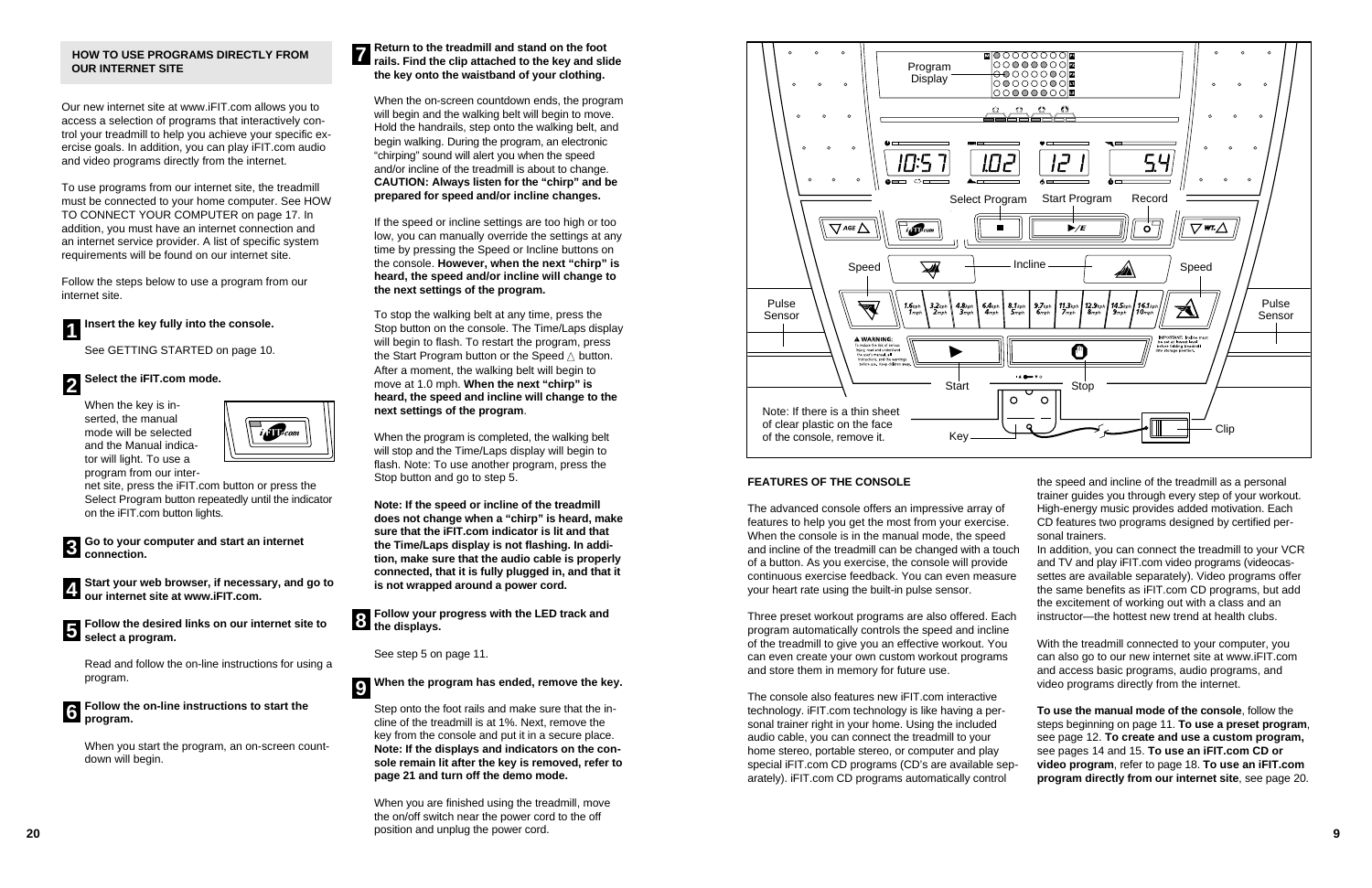### **FEATURES OF THE CONSOLE**

The advanced console offers an impressive array of features to help you get the most from your exercise. When the console is in the manual mode, the speed and incline of the treadmill can be changed with a touch of a button. As you exercise, the console will provide continuous exercise feedback. You can even measure your heart rate using the built-in pulse sensor.

Three preset workout programs are also offered. Each program automatically controls the speed and incline of the treadmill to give you an effective workout. You can even create your own custom workout programs and store them in memory for future use.

The console also features new iFIT.com interactive technology. iFIT.com technology is like having a personal trainer right in your home. Using the included audio cable, you can connect the treadmill to your home stereo, portable stereo, or computer and play special iFIT.com CD programs (CD's are available separately). iFIT.com CD programs automatically control

| $\circ$<br>$\circ$<br>$\circ$<br>▩◯◯◯◯◯◯◯◙<br>○○○○○○○○ ☎<br>Program<br>⊖⊖○○○○○○ ⊠<br>Display<br>○○○○○○○○ <mark>国</mark><br>$\circ$<br>$\circ$<br>$\circ$<br>OOOOOOO <b>I⊠</b>                                                                                                                                                                                                                                                                                                                                                                                                                                                               |
|---------------------------------------------------------------------------------------------------------------------------------------------------------------------------------------------------------------------------------------------------------------------------------------------------------------------------------------------------------------------------------------------------------------------------------------------------------------------------------------------------------------------------------------------------------------------------------------------------------------------------------------------|
| 凸<br>₩<br>o<br>۳'n<br>Ć<br>$\circ$<br>$\circ$<br>$\circ$<br>ധ⊏<br>♥□<br><b>DOM: UNITED</b><br>◥▬<br>$\circ$<br>$\circ$<br>$\circ$<br>$\circ$<br>!O2<br>10:5<br>54<br>$\mathcal{L}$                                                                                                                                                                                                                                                                                                                                                                                                                                                          |
| $\circ$<br>$\circ$<br>$\circ$<br>$\circ$<br>ě —<br>ದ⊏<br>- 10<br>--<br>Start Program<br>Select Program<br>Record<br>$\blacktriangleright$ /E<br>GE /`<br>WT.<br>$\mathbf{m}$<br>O                                                                                                                                                                                                                                                                                                                                                                                                                                                           |
| Incline<br>Speed<br>Speed<br>41                                                                                                                                                                                                                                                                                                                                                                                                                                                                                                                                                                                                             |
| Pulse<br>$9.7$ kph<br>11.3 <sub>kph</sub><br>12.9 $k_{\text{ph}}$   14.5 $k_{\text{ph}}$  <br><sup>1</sup> 16.1 <sub>kph</sub><br>10 <sub>mph</sub><br>$1.6$ kph<br>$3.2$ kph<br>$4.8$ kph<br>$6.4$ kph<br>8.1 <sub>kph</sub><br>2 <sub>mph</sub><br>$8$ <sub>mph</sub><br>$9$ <sub>mph</sub><br>$3$ <sub>mph</sub><br>$4$ mph<br>$5$ <sub>mph</sub><br>$Z$ <sub>mph</sub><br>1 <sub>mph</sub><br>$6$ mph<br>Sensor<br>IMPORTANT; Incline must<br>A WARNING:<br>be set at lowest level<br>To reduce the risk of serious<br>before folding treadmill<br>M<br>injury, read and understand<br>into storage position.<br>the user's manual, all |
| instructions, and the warnings<br>before use. Keep children away.<br><b>IA @ TO</b><br>Stop<br><b>Start</b><br>O<br>O                                                                                                                                                                                                                                                                                                                                                                                                                                                                                                                       |
| thin sheet<br>the face<br>Clip<br>Q<br>Key-<br>nove it.                                                                                                                                                                                                                                                                                                                                                                                                                                                                                                                                                                                     |

the speed and incline of the treadmill as a personal trainer guides you through every step of your workout. High-energy music provides added motivation. Each CD features two programs designed by certified personal trainers.

- In addition, you can connect the treadmill to your VCR and TV and play iFIT.com video programs (videocassettes are available separately). Video programs offer
- the same benefits as iFIT.com CD programs, but add the excitement of working out with a class and an instructor—the hottest new trend at health clubs.
	- With the treadmill connected to your computer, you can also go to our new internet site at www.iFIT.com and access basic programs, audio programs, and video programs directly from the internet.

**Go to your computer and start an internet 3** connection.

**Start your web browser, if necessary, and go to 1** Start your web browser, if necess<br>**4** our internet site at www.iFIT.com.

**Follow the desired links on our internet site to 5** select a program.

### **Follow the on-line instructions to start the b** program.

**To use the manual mode of the console**, follow the steps beginning on page 11. **To use a preset program**, see page 12. **To create and use a custom program,** see pages 14 and 15. **To use an iFIT.com CD or**

**video program**, refer to page 18. **To use an iFIT.com program directly from our internet site**, see page 20.



### **HOW TO USE PROGRAMS DIRECTLY FROM OUR INTERNET SITE**

Our new internet site at www.iFIT.com allows you to access a selection of programs that interactively control your treadmill to help you achieve your specific exercise goals. In addition, you can play iFIT.com audio and video programs directly from the internet.

To use programs from our internet site, the treadmill must be connected to your home computer. See HOW TO CONNECT YOUR COMPUTER on page 17. In addition, you must have an internet connection and an internet service provider. A list of specific system requirements will be found on our internet site.

Follow the steps below to use a program from our internet site.

See GETTING STARTED on page 10.

When the key is inserted, the manual mode will be selected and the Manual indicator will light. To use a program from our inter-



net site, press the iFIT.com button or press the Select Program button repeatedly until the indicator on the iFIT.com button lights.



Read and follow the on-line instructions for using a program.

When you start the program, an on-screen countdown will begin.

### **Return to the treadmill and stand on the foot rails.** Find the clip attached to the key and slide **the key onto the waistband of your clothing.**

When the on-screen countdown ends, the program will begin and the walking belt will begin to move. Hold the handrails, step onto the walking belt, and begin walking. During the program, an electronic "chirping" sound will alert you when the speed and/or incline of the treadmill is about to change. **CAUTION: Always listen for the "chirp" and be prepared for speed and/or incline changes.** 

If the speed or incline settings are too high or too low, you can manually override the settings at any time by pressing the Speed or Incline buttons on the console. **However, when the next "chirp" is heard, the speed and/or incline will change to the next settings of the program.**

### **Insert the key fully into the console. 1**

### **Select the iFIT.com mode. 2**

To stop the walking belt at any time, press the Stop button on the console. The Time/Laps display will begin to flash. To restart the program, press the Start Program button or the Speed  $\triangle$  button. After a moment, the walking belt will begin to move at 1.0 mph. **When the next "chirp" is heard, the speed and incline will change to the next settings of the program**.

When the program is completed, the walking belt will stop and the Time/Laps display will begin to flash. Note: To use another program, press the Stop button and go to step 5.

**Note: If the speed or incline of the treadmill does not change when a "chirp" is heard, make sure that the iFIT.com indicator is lit and that the Time/Laps display is not flashing. In addition, make sure that the audio cable is properly connected, that it is fully plugged in, and that it is not wrapped around a power cord.**

See step 5 on page 11.

Step onto the foot rails and make sure that the incline of the treadmill is at 1%. Next, remove the key from the console and put it in a secure place. **Note: If the displays and indicators on the console remain lit after the key is removed, refer to page 21 and turn off the demo mode.**



### **When the program has ended, remove the key. 9**

When you are finished using the treadmill, move the on/off switch near the power cord to the off position and unplug the power cord.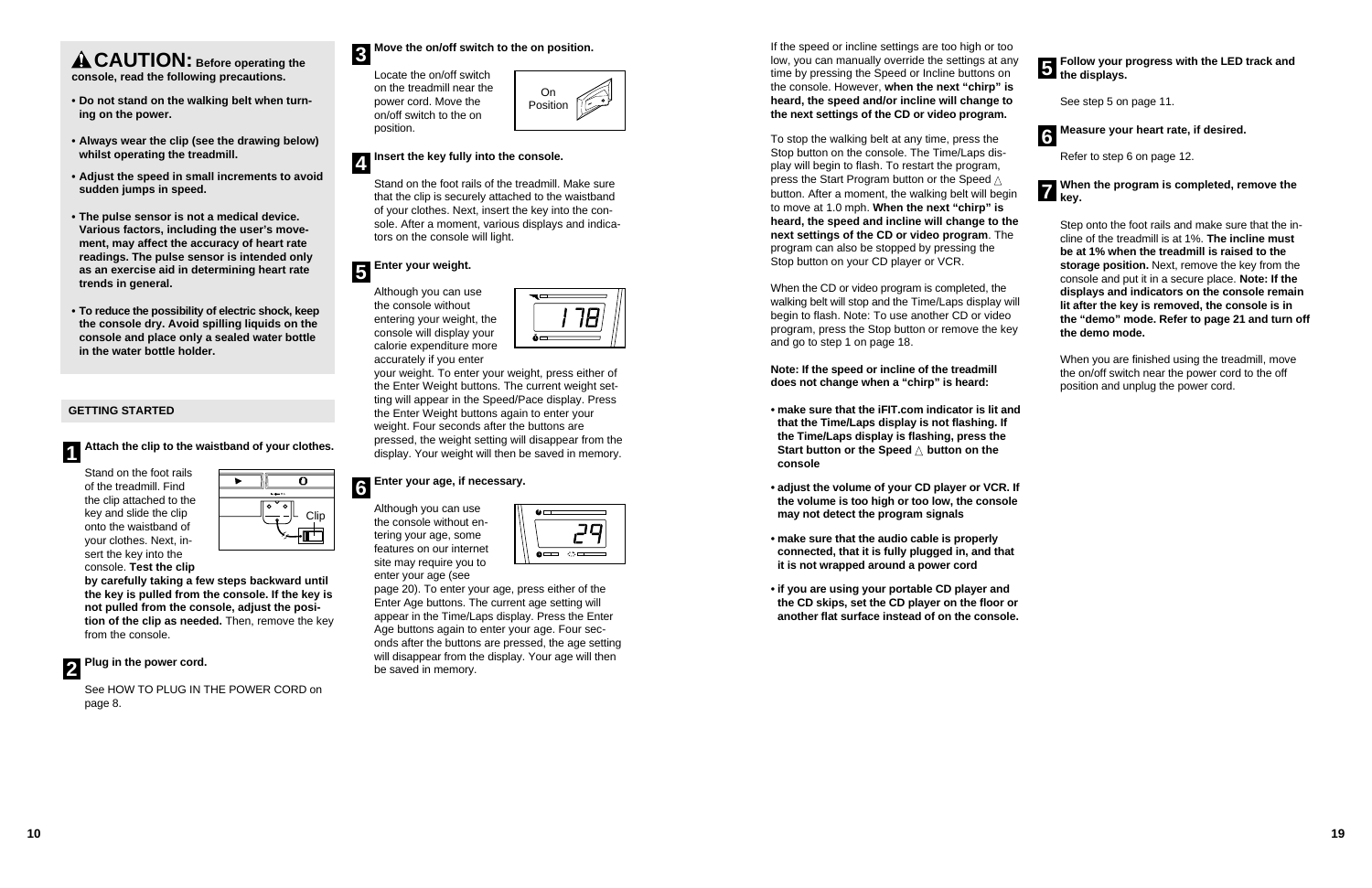### **GETTING STARTED**

Stand on the foot rails of the treadmill. Find the clip attached to the key and slide the clip onto the waistband of your clothes. Next, insert the key into the console. **Test the clip**

**by carefully taking a few steps backward until the key is pulled from the console. If the key is not pulled from the console, adjust the position of the clip as needed.** Then, remove the key from the console.

See HOW TO PLUG IN THE POWER CORD on page 8.

### **Move the on/off switch to the on position.**

Locate the on/off switch on the treadmill near the power cord. Move the on/off switch to the on position.

Stand on the foot rails of the treadmill. Make sure that the clip is securely attached to the waistband of your clothes. Next, insert the key into the console. After a moment, various displays and indicators on the console will light.



Although you can use the console without entering your weight, the console will display your calorie expenditure more accurately if you enter



### **Plug in the power cord. 2**

your weight. To enter your weight, press either of the Enter Weight buttons. The current weight setting will appear in the Speed/Pace display. Press the Enter Weight buttons again to enter your weight. Four seconds after the buttons are pressed, the weight setting will disappear from the display. Your weight will then be saved in memory.

### **Insert the key fully into the console. 4**

### **Enter your weight. 5**

If the speed or incline settings are too high or to low, you can manually override the settings at a time by pressing the Speed or Incline buttons on the console. However, **when the next "chirp" is heard, the speed and/or incline will change to the next settings of the CD or video program.**

Although you can use the console without entering your age, some features on our internet site may require you to enter your age (see



### **Enter your age, if necessary. 6**

page 20). To enter your age, press either of the Enter Age buttons. The current age setting will appear in the Time/Laps display. Press the Enter Age buttons again to enter your age. Four seconds after the buttons are pressed, the age setting will disappear from the display. Your age will then be saved in memory.



**CAUTION: Before operating the console, read the following precautions.**

- **• Do not stand on the walking belt when turning on the power.**
- **• Always wear the clip (see the drawing below) whilst operating the treadmill.**
- **• Adjust the speed in small increments to avoid sudden jumps in speed.**
- **• The pulse sensor is not a medical device. Various factors, including the user's movement, may affect the accuracy of heart rate readings. The pulse sensor is intended only as an exercise aid in determining heart rate trends in general.**
- **• To reduce the possibility of electric shock, keep the console dry. Avoid spilling liquids on the console and place only a sealed water bottle in the water bottle holder.**





To stop the walking belt at any time, press the Stop button on the console. The Time/Laps display will begin to flash. To restart the program, press the Start Program button or the Speed  $\triangle$ button. After a moment, the walking belt will beg to move at 1.0 mph. **When the next "chirp" is heard, the speed and incline will change to the next settings of the CD or video program**. The program can also be stopped by pressing the Stop button on your CD player or VCR.

When the CD or video program is completed, the walking belt will stop and the Time/Laps display w begin to flash. Note: To use another CD or video program, press the Stop button or remove the ke and go to step 1 on page 18.

**Note: If the speed or incline of the treadmill does not change when a "chirp" is heard:**

- **make sure that the iFIT.com indicator is lit and that the Time/Laps display is not flashing. If the Time/Laps display is flashing, press the Start button or the Speed △ button on the console**
- **adjust the volume of your CD player or VCR. If the volume is too high or too low, the console may not detect the program signals**
- **make sure that the audio cable is properly connected, that it is fully plugged in, and that it is not wrapped around a power cord**
- **if you are using your portable CD player and the CD skips, set the CD player on the floor or another flat surface instead of on the console.**

| о<br>ny                    | Follow your progress with the LED track and<br>the displays.                                                                                                                                                                                                                                                                                                                                                                              |
|----------------------------|-------------------------------------------------------------------------------------------------------------------------------------------------------------------------------------------------------------------------------------------------------------------------------------------------------------------------------------------------------------------------------------------------------------------------------------------|
| ٦<br>s                     |                                                                                                                                                                                                                                                                                                                                                                                                                                           |
| ٥                          | See step 5 on page 11.                                                                                                                                                                                                                                                                                                                                                                                                                    |
| 6                          | Measure your heart rate, if desired.                                                                                                                                                                                                                                                                                                                                                                                                      |
|                            | Refer to step 6 on page 12.                                                                                                                                                                                                                                                                                                                                                                                                               |
| ıin                        | When the program is completed, remove the<br><b>Z</b> key.                                                                                                                                                                                                                                                                                                                                                                                |
| he<br>e<br>will<br>ͻ<br>ev | Step onto the foot rails and make sure that the in-<br>cline of the treadmill is at 1%. The incline must<br>be at 1% when the treadmill is raised to the<br>storage position. Next, remove the key from the<br>console and put it in a secure place. Note: If the<br>displays and indicators on the console remain<br>lit after the key is removed, the console is in<br>the "demo" mode. Refer to page 21 and turn off<br>the demo mode. |
|                            | When you are finished using the treadmill, move<br>the on/off switch near the power cord to the off<br>position and unplug the power cord.                                                                                                                                                                                                                                                                                                |
|                            |                                                                                                                                                                                                                                                                                                                                                                                                                                           |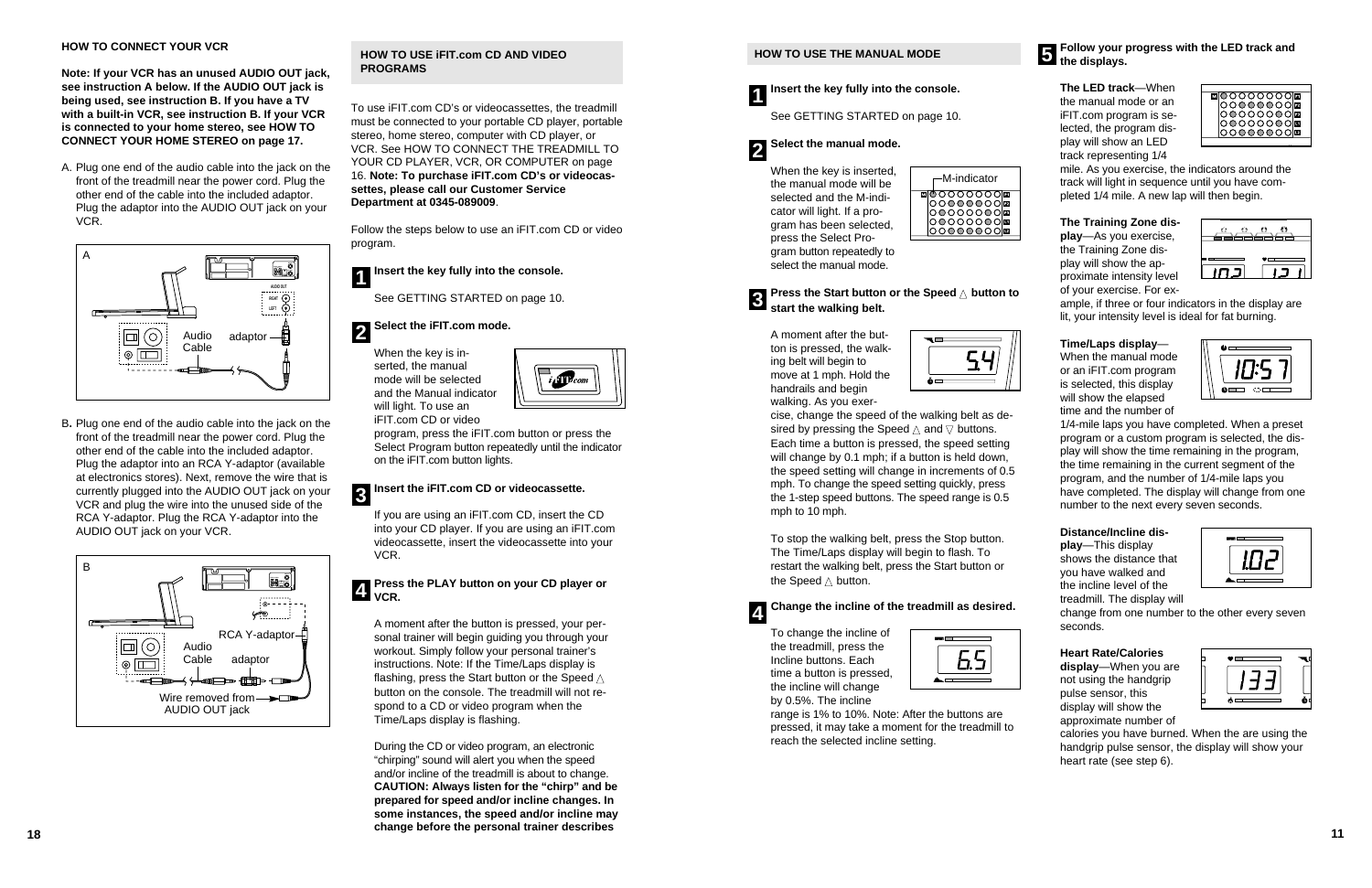### **HOW TO USE THE MANUAL MODE**

See GETTING STARTED on page 10.

When the key is inserted, the manual mode will be selected and the M-indicator will light. If a program has been selected, press the Select Program button repeatedly to select the manual mode.

To stop the walking belt, press the Stop button. The Time/Laps display will begin to flash. To restart the walking belt, press the Start button or the Speed  $\triangle$  button.

A moment after the button is pressed, the walking belt will begin to move at 1 mph. Hold the handrails and begin walking. As you exer-

| Ā<br>一 |  |
|--------|--|
|        |  |

### **Follow your progress with the LED track and b** the displays.

cise, change the speed of the walking belt as desired by pressing the Speed  $\vartriangle$  and  $\triangledown$  buttons. Each time a button is pressed, the speed setting will change by 0.1 mph; if a button is held down, the speed setting will change in increments of 0.5 mph. To change the speed setting quickly, press the 1-step speed buttons. The speed range is 0.5 mph to 10 mph.

To change the incline of the treadmill, press the Incline buttons. Each time a button is pressed, the incline will change by 0.5%. The incline

| men ( |
|-------|
| A     |

range is 1% to 10%. Note: After the buttons are pressed, it may take a moment for the treadmill to reach the selected incline setting.





**Insert the key fully into the console. 1**

### **Select the manual mode. 2**

**The LED track**—When the manual mode or an iFIT.com program is selected, the program display will show an LED track representing 1/4



**Press the Start button or the Speed**  ▲ **button to start the walking belt. 3**

mile. As you exercise, the indicators around the track will light in sequence until you have completed 1/4 mile. A new lap will then begin.

### **The Training Zone display**—As you exercise, the Training Zone display will show the approximate intensity level

of your exercise. For ex-



ample, if three or four indicators in the display are lit, your intensity level is ideal for fat burning.

### **Change the incline of the treadmill as desired. 4**

### **Time/Laps display** —

When the manual mode or an iFIT.com program is selected, this display will show the elapsed time and the number of



1/4-mile laps you have completed. When a preset program or a custom program is selected, the display will show the time remaining in the program, the time remaining in the current segment of the program, and the number of 1/4-mile laps you have completed. The display will change from one number to the next every seven seconds.



### **Distance/Incline dis-**

**play**—This display shows the distance that you have walked and the incline level of the treadmill. The display will

change from one number to the other every seven seconds.

### **Heart Rate/Calories**

**display**—When you are not using the handgrip pulse sensor, this display will show the approximate number of



**18 11** During the CD or video program, an electronic "chirping" sound will alert you when the speed and/or incline of the treadmill is about to change. **CAUTION: Always listen for the "chirp" and be prepared for speed and/or incline changes. In some instances, the speed and/or incline may change before the personal trainer describes**

calories you have burned. When the are using the handgrip pulse sensor, the display will show your heart rate (see step 6).







|  | -M-indicator |  |
|--|--------------|--|
|  |              |  |

### **HOW TO CONNECT YOUR VCR**

**Note: If your VCR has an unused AUDIO OUT jack, see instruction A below. If the AUDIO OUT jack is being used, see instruction B. If you have a TV with a built-in VCR, see instruction B. If your VCR is connected to your home stereo, see HOW TO CONNECT YOUR HOME STEREO on page 17.**

A. Plug one end of the audio cable into the jack on the front of the treadmill near the power cord. Plug the other end of the cable into the included adaptor. Plug the adaptor into the AUDIO OUT jack on your VCR.

B**.** Plug one end of the audio cable into the jack on the front of the treadmill near the power cord. Plug the other end of the cable into the included adaptor. Plug the adaptor into an RCA Y-adaptor (available at electronics stores). Next, remove the wire that is currently plugged into the AUDIO OUT jack on your VCR and plug the wire into the unused side of the RCA Y-adaptor. Plug the RCA Y-adaptor into the AUDIO OUT jack on your VCR.

### **HOW TO USE iFIT.com CD AND VIDEO PROGRAMS**

To use iFIT.com CD's or videocassettes, the treadmill must be connected to your portable CD player, portable stereo, home stereo, computer with CD player, or VCR. See HOW TO CONNECT THE TREADMILL TO YOUR CD PLAYER, VCR, OR COMPUTER on page 16. **Note: To purchase iFIT.com CD's or videocassettes, please call our Customer Service Department at 0345-089009**.

Follow the steps below to use an iFIT.com CD or video program.

See GETTING STARTED on page 10.

When the key is inserted, the manual mode will be selected and the Manual indicator will light. To use an iFIT.com CD or video



program, press the iFIT.com button or press the Select Program button repeatedly until the indicator on the iFIT.com button lights.

If you are using an iFIT.com CD, insert the CD into your CD player. If you are using an iFIT.com videocassette, insert the videocassette into your VCR.

### **Insert the key fully into the console. 1**

### **Select the iFIT.com mode. 2**

A moment after the button is pressed, your personal trainer will begin guiding you through your workout. Simply follow your personal trainer's instructions. Note: If the Time/Laps display is flashing, press the Start button or the Speed  $\triangle$ button on the console. The treadmill will not respond to a CD or video program when the Time/Laps display is flashing.

### **Insert the iFIT.com CD or videocassette. 3**

### **Press the PLAY button on your CD player or VCR. 4**



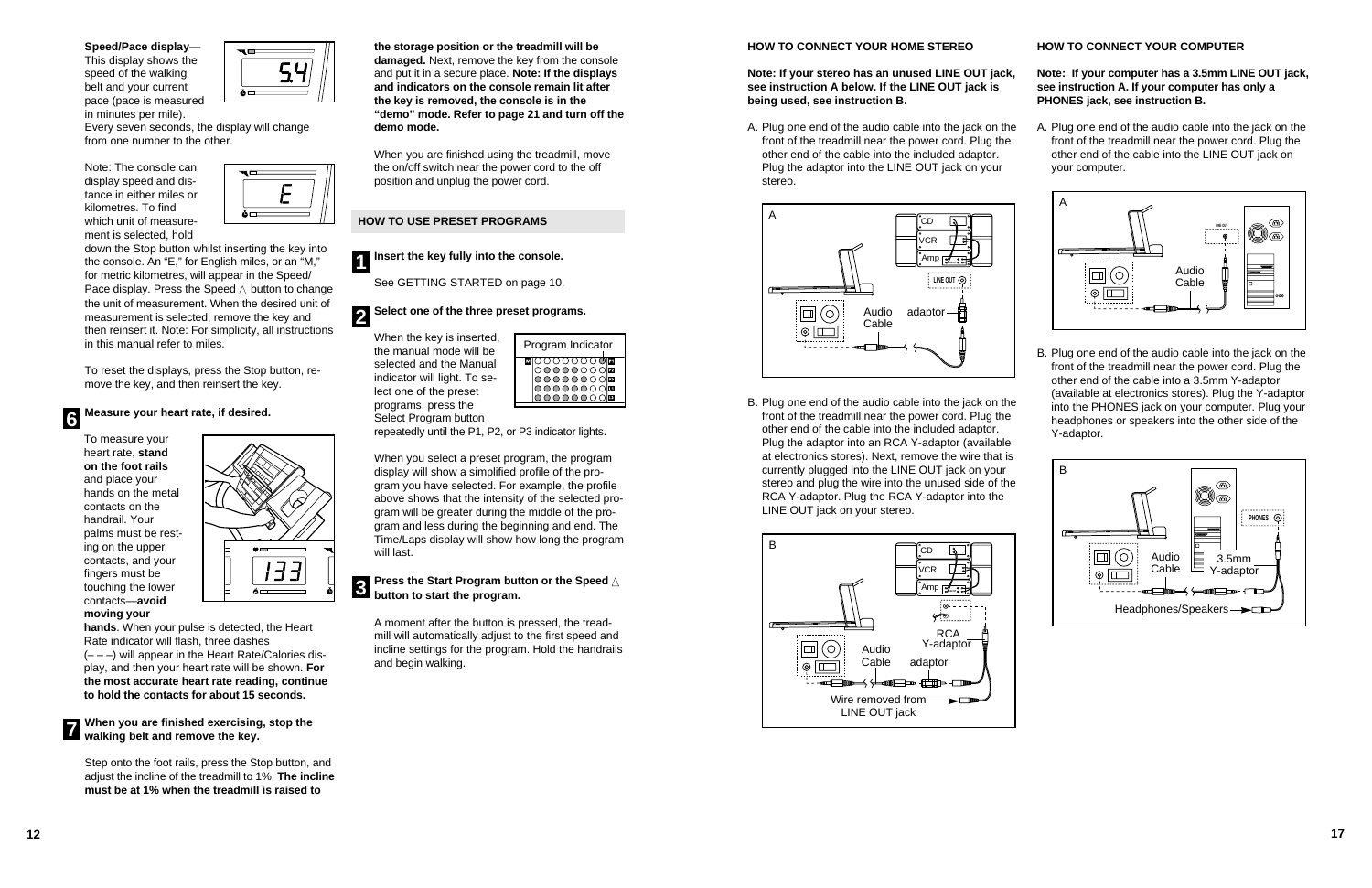### **Speed/Pace display**—

This display shows the speed of the walking belt and your current pace (pace is measured in minutes per mile).



Every seven seconds, the display will change from one number to the other.

Note: The console can display speed and distance in either miles or kilometres. To find which unit of measurement is selected, hold



down the Stop button whilst inserting the key into the console. An "E," for English miles, or an "M," for metric kilometres, will appear in the Speed/ Pace display. Press the Speed  $\triangle$  button to change the unit of measurement. When the desired unit of measurement is selected, remove the key and then reinsert it. Note: For simplicity, all instructions in this manual refer to miles.

**When you are finished exercising, stop the 7** Writch you are imisting exercising<br>walking belt and remove the key.

To reset the displays, press the Stop button, remove the key, and then reinsert the key.

To measure your heart rate, **stand on the foot rails** and place your hands on the metal contacts on the handrail. Your palms must be resting on the upper contacts, and your fingers must be touching the lower contacts—**avoid moving your**



**hands**. When your pulse is detected, the Heart Rate indicator will flash, three dashes  $(- - -)$  will appear in the Heart Rate/Calories display, and then your heart rate will be shown. **For the most accurate heart rate reading, continue to hold the contacts for about 15 seconds.**

Step onto the foot rails, press the Stop button, and adjust the incline of the treadmill to 1%. **The incline must be at 1% when the treadmill is raised to**

**the storage position or the treadmill will be damaged.** Next, remove the key from the console and put it in a secure place. **Note: If the displays and indicators on the console remain lit after the key is removed, the console is in the "demo" mode. Refer to page 21 and turn off the demo mode.**

**Measure your heart rate, if desired. 6**

When you are finished using the treadmill, move the on/off switch near the power cord to the off position and unplug the power cord.

### **HOW TO USE PRESET PROGRAMS**

See GETTING STARTED on page 10.

When the key is inserted, the manual mode will be selected and the Manual indicator will light. To select one of the preset programs, press the Select Program button

repeatedly until the P1, P2, or P3 indicator lights.

### **Insert the key fully into the console. 1**

### **Select one of the three preset programs. 2**

When you select a preset program, the program display will show a simplified profile of the program you have selected. For example, the profile above shows that the intensity of the selected program will be greater during the middle of the program and less during the beginning and end. The Time/Laps display will show how long the program will last.

### **Press the Start Program button or the Speed** ▲ **button to start the program. 3**

A moment after the button is pressed, the treadmill will automatically adjust to the first speed and incline settings for the program. Hold the handrails and begin walking.



### **HOW TO CONNECT YOUR HOME STEREO**

**Note: If your stereo has an unused LINE OUT jack, see instruction A below. If the LINE OUT jack is being used, see instruction B.**

B. Plug one end of the audio cable into the jack on the front of the treadmill near the power cord. Plug the other end of the cable into the included adaptor. Plug the adaptor into an RCA Y-adaptor (available at electronics stores). Next, remove the wire that is currently plugged into the LINE OUT jack on your stereo and plug the wire into the unused side of the RCA Y-adaptor. Plug the RCA Y-adaptor into the LINE OUT jack on your stereo.

A. Plug one end of the audio cable into the jack on the front of the treadmill near the power cord. Plug the other end of the cable into the included adaptor. Plug the adaptor into the LINE OUT jack on your stereo. A. Plug one end of the audio cable into the jack on the front of the treadmill near the power cord. Plug the other end of the cable into the LINE OUT jack on your computer.

### **HOW TO CONNECT YOUR COMPUTER**

**Note: If your computer has a 3.5mm LINE OUT jack, see instruction A. If your computer has only a PHONES jack, see instruction B.**

B. Plug one end of the audio cable into the jack on the front of the treadmill near the power cord. Plug the other end of the cable into a 3.5mm Y-adaptor (available at electronics stores). Plug the Y-adaptor into the PHONES jack on your computer. Plug your headphones or speakers into the other side of the Y-adaptor.









- 
- 

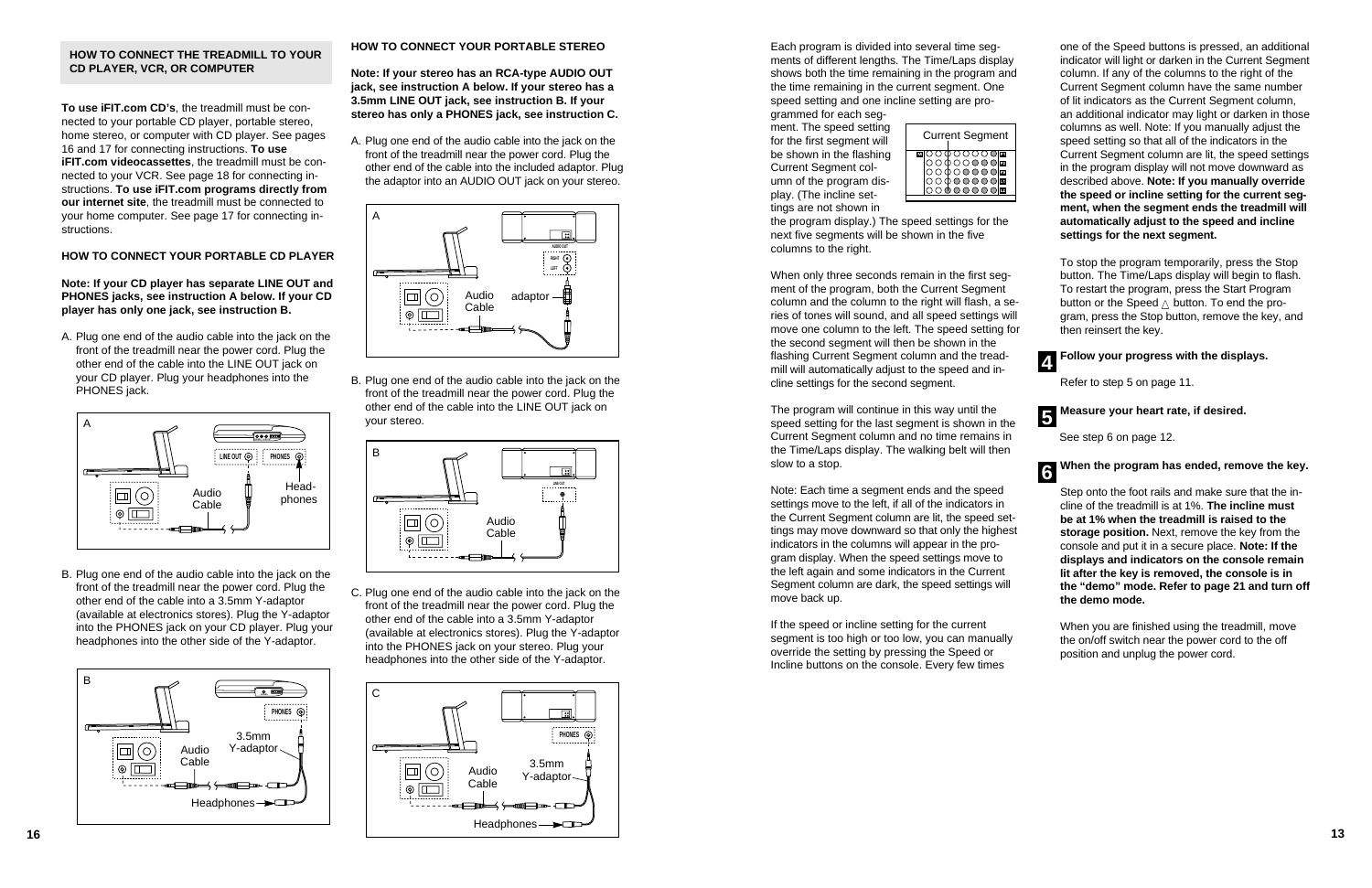Each program is divided into several time segments of different lengths. The Time/Laps display shows both the time remaining in the program and the time remaining in the current segment. One speed setting and one incline setting are pro-

grammed for each segment. The speed setting for the first segment will be shown in the flashing Current Segment column of the program display. (The incline settings are not shown in

the program display.) The speed settings for the next five segments will be shown in the five columns to the right.

When only three seconds remain in the first segment of the program, both the Current Segment column and the column to the right will flash, a series of tones will sound, and all speed settings will move one column to the left. The speed setting for the second segment will then be shown in the flashing Current Segment column and the treadmill will automatically adjust to the speed and incline settings for the second segment.

The program will continue in this way until the speed setting for the last segment is shown in the Current Segment column and no time remains in the Time/Laps display. The walking belt will then slow to a stop.

Note: Each time a segment ends and the speed settings move to the left, if all of the indicators in the Current Segment column are lit, the speed settings may move downward so that only the highest indicators in the columns will appear in the program display. When the speed settings move to the left again and some indicators in the Current Segment column are dark, the speed settings will move back up.

If the speed or incline setting for the current segment is too high or too low, you can manually override the setting by pressing the Speed or Incline buttons on the console. Every few times



one of the Speed buttons is pressed, an additional indicator will light or darken in the Current Segment column. If any of the columns to the right of the Current Segment column have the same number of lit indicators as the Current Segment column, an additional indicator may light or darken in those columns as well. Note: If you manually adjust the speed setting so that all of the indicators in the Current Segment column are lit, the speed settings in the program display will not move downward as described above. **Note: If you manually override the speed or incline setting for the current segment, when the segment ends the treadmill will automatically adjust to the speed and incline**

**settings for the next segment.**

To stop the program temporarily, press the Stop button. The Time/Laps display will begin to flash. To restart the program, press the Start Program button or the Speed  $\triangle$  button. To end the program, press the Stop button, remove the key, and

then reinsert the key. **Follow your progress with the displays.**

Refer to step 5 on page 11.

See step 6 on page 12.



### **When the program has ended, remove the key.**

Step onto the foot rails and make sure that the incline of the treadmill is at 1%. **The incline must be at 1% when the treadmill is raised to the storage position.** Next, remove the key from the console and put it in a secure place. **Note: If the displays and indicators on the console remain lit after the key is removed, the console is in the "demo" mode. Refer to page 21 and turn off the demo mode.**

### **Measure your heart rate, if desired. 5**

When you are finished using the treadmill, move the on/off switch near the power cord to the off position and unplug the power cord.

**6**

**4**

|  | <b>Current Segment</b> |  |
|--|------------------------|--|
|  |                        |  |

### **HOW TO CONNECT THE TREADMILL TO YOUR CD PLAYER, VCR, OR COMPUTER**

**To use iFIT.com CD's**, the treadmill must be connected to your portable CD player, portable stereo, home stereo, or computer with CD player. See pages 16 and 17 for connecting instructions. **To use iFIT.com videocassettes**, the treadmill must be connected to your VCR. See page 18 for connecting instructions. **To use iFIT.com programs directly from our internet site**, the treadmill must be connected to your home computer. See page 17 for connecting instructions.

### **HOW TO CONNECT YOUR PORTABLE CD PLAYER**

**Note: If your CD player has separate LINE OUT and PHONES jacks, see instruction A below. If your CD player has only one jack, see instruction B.**

A. Plug one end of the audio cable into the jack on the front of the treadmill near the power cord. Plug the other end of the cable into the LINE OUT jack on your CD player. Plug your headphones into the PHONES jack.

B. Plug one end of the audio cable into the jack on the front of the treadmill near the power cord. Plug the other end of the cable into a 3.5mm Y-adaptor (available at electronics stores). Plug the Y-adaptor into the PHONES jack on your CD player. Plug your headphones into the other side of the Y-adaptor.

### **HOW TO CONNECT YOUR PORTABLE STEREO**

**Note: If your stereo has an RCA-type AUDIO OUT jack, see instruction A below. If your stereo has a 3.5mm LINE OUT jack, see instruction B. If your stereo has only a PHONES jack, see instruction C.**

A. Plug one end of the audio cable into the jack on the front of the treadmill near the power cord. Plug the other end of the cable into the included adaptor. Plug the adaptor into an AUDIO OUT jack on your stereo.

B. Plug one end of the audio cable into the jack on the front of the treadmill near the power cord. Plug the other end of the cable into the LINE OUT jack on your stereo.

C. Plug one end of the audio cable into the jack on the front of the treadmill near the power cord. Plug the other end of the cable into a 3.5mm Y-adaptor (available at electronics stores). Plug the Y-adaptor into the PHONES jack on your stereo. Plug your headphones into the other side of the Y-adaptor.







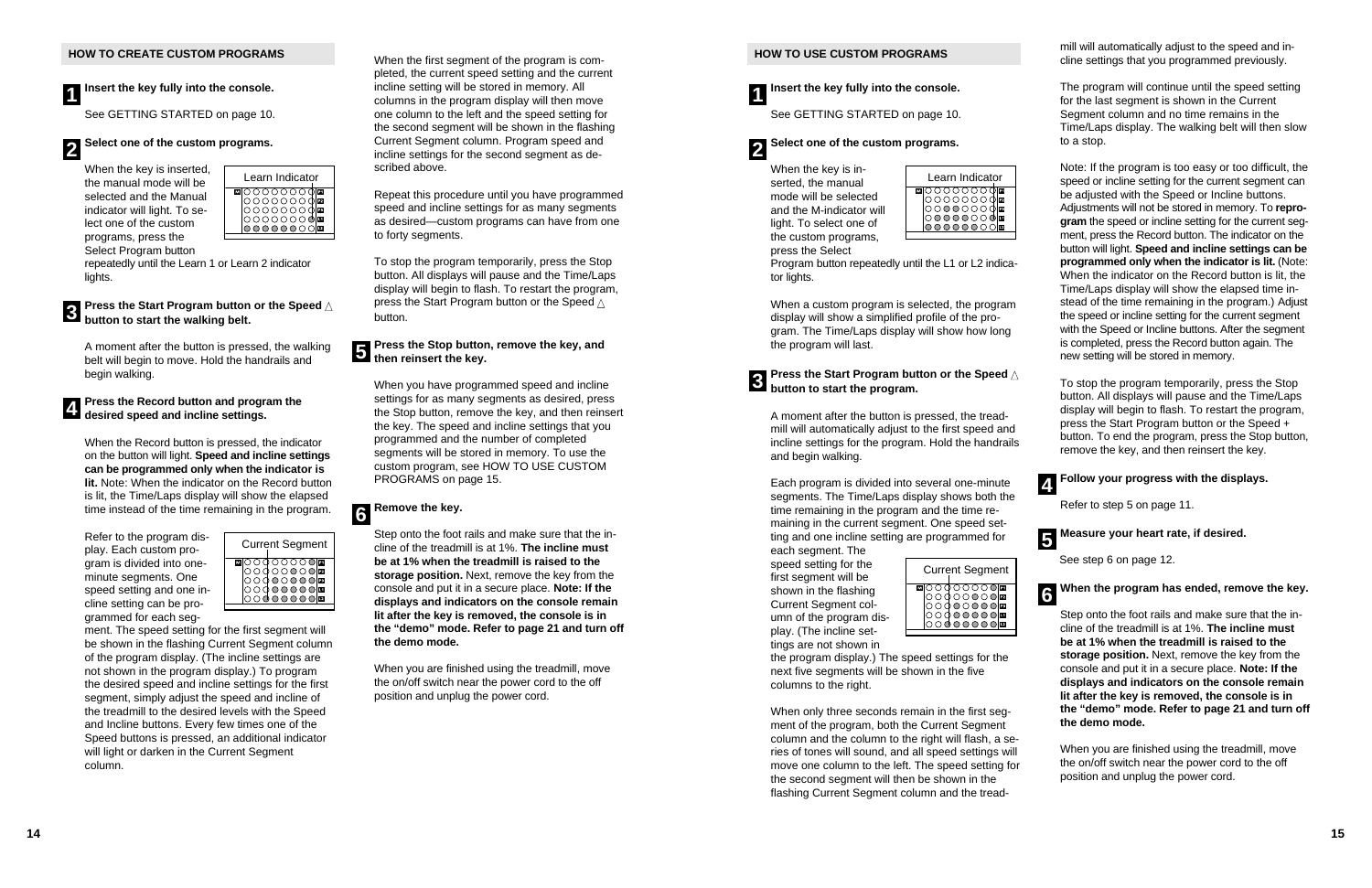See GETTING STARTED on page 10.

### **Press the Start Program button or the Speed**  ▲ **button to start Program button**<br>button to start the walking belt.

When the key is inserted, the manual mode will be selected and the Manual indicator will light. To select one of the custom programs, press the Select Program button

repeatedly until the Learn 1 or Learn 2 indicator lights.

A moment after the button is pressed, the walking belt will begin to move. Hold the handrails and begin walking.

When the Record button is pressed, the indicator on the button will light. **Speed and incline settings can be programmed only when the indicator is lit.** Note: When the indicator on the Record button is lit, the Time/Laps display will show the elapsed time instead of the time remaining in the program.

Refer to the program display. Each custom program is divided into oneminute segments. One speed setting and one incline setting can be programmed for each seg-

### **Press the Stop button, remove the key, and then reinsert the key.**<br>**3** then reinsert the key.

ment. The speed setting for the first segment will be shown in the flashing Current Segment column of the program display. (The incline settings are not shown in the program display.) To program the desired speed and incline settings for the first segment, simply adjust the speed and incline of the treadmill to the desired levels with the Speed and Incline buttons. Every few times one of the Speed buttons is pressed, an additional indicator will light or darken in the Current Segment column.

**Insert the key fully into the console. 1**

### **Select one of the custom programs. 2**

When the first segment of the program is completed, the current speed setting and the current incline setting will be stored in memory. All columns in the program display will then move one column to the left and the speed setting for the second segment will be shown in the flashing Current Segment column. Program speed and incline settings for the second segment as described above.

### **Press the Start Program button or the Speed**  ▲ **8 button to start the program.**

### **Press the Record button and program the desired speed and incline settings. 4**

Repeat this procedure until you have programmed speed and incline settings for as many segments as desired—custom programs can have from one to forty segments.

To stop the program temporarily, press the Stop button. All displays will pause and the Time/Laps display will begin to flash. To restart the program, press the Start Program button or the Speed  $\triangle$ button.

When you have programmed speed and incline settings for as many segments as desired, press the Stop button, remove the key, and then reinsert the key. The speed and incline settings that you programmed and the number of completed segments will be stored in memory. To use the custom program, see HOW TO USE CUSTOM PROGRAMS on page 15.

Step onto the foot rails and make sure that the incline of the treadmill is at 1%. **The incline must be at 1% when the treadmill is raised to the storage position.** Next, remove the key from the console and put it in a secure place. **Note: If the displays and indicators on the console remain lit after the key is removed, the console is in the "demo" mode. Refer to page 21 and turn off the demo mode.**

### **Remove the key. 6**

When you are finished using the treadmill, move the on/off switch near the power cord to the off position and unplug the power cord.





### **HOW TO USE CUSTOM PROGRAMS**

See GETTING STARTED on page 10.

When the key is inserted, the manual mode will be selected and the M-indicator will light. To select one of the custom programs, press the Select

Program button repeatedly until the L1 or L2 indicator lights.

When a custom program is selected, the program display will show a simplified profile of the program. The Time/Laps display will show how long the program will last.

A moment after the button is pressed, the treadmill will automatically adjust to the first speed and incline settings for the program. Hold the handrails and begin walking.

Each program is divided into several one-minute segments. The Time/Laps display shows both the time remaining in the program and the time remaining in the current segment. One speed setting and one incline setting are programmed for

each segment. The speed setting for the first segment will be shown in the flashing Current Segment column of the program display. (The incline settings are not shown in

the program display.) The speed settings for the next five segments will be shown in the five columns to the right.

When only three seconds remain in the first segment of the program, both the Current Segment column and the column to the right will flash, a series of tones will sound, and all speed settings will move one column to the left. The speed setting for the second segment will then be shown in the flashing Current Segment column and the tread-

mill will automatically adjust to the speed and in cline settings that you programmed previously. The program will continue until the speed setting

**Insert the key fully into the console. 1**

for the last segment is shown in the Current Segment column and no time remains in the Time/Laps display. The walking belt will then slow to a stop.

### **Select one of the custom programs. 2**

Note: If the program is too easy or too difficult, the speed or incline setting for the current segment can be adjusted with the Speed or Incline buttons. Adjustments will not be stored in memory. To **repro gram** the speed or incline setting for the current seg ment, press the Record button. The indicator on the button will light. **Speed and incline settings can be programmed only when the indicator is lit.** (Note: When the indicator on the Record button is lit, the Time/Laps display will show the elapsed time in stead of the time remaining in the program.) Adjust the speed or incline setting for the current segment with the Speed or Incline buttons. After the seament is completed, press the Record button again. The new setting will be stored in memory.

To stop the program temporarily, press the Stop button. All displays will pause and the Time/Laps display will begin to flash. To restart the program, press the Start Program button or the Speed + button. To end the program, press the Stop button, remove the key, and then reinsert the key.

Refer to step 5 on page 11.

See step 6 on page 12.

### **When the program has ended, remove the key.**

### **Follow your progress with the displays. 4**

Step onto the foot rails and make sure that the in cline of the treadmill is at 1%. **The incline must be at 1% when the treadmill is raised to the storage position.** Next, remove the key from the console and put it in a secure place. **Note: If the displays and indicators on the console remain lit after the key is removed, the console is in the "demo" mode. Refer to page 21 and turn off the demo mode.**

### **Measure your heart rate, if desired. 5**

When you are finished using the treadmill, move the on/off switch near the power cord to the off position and unplug the power cord.

**6**



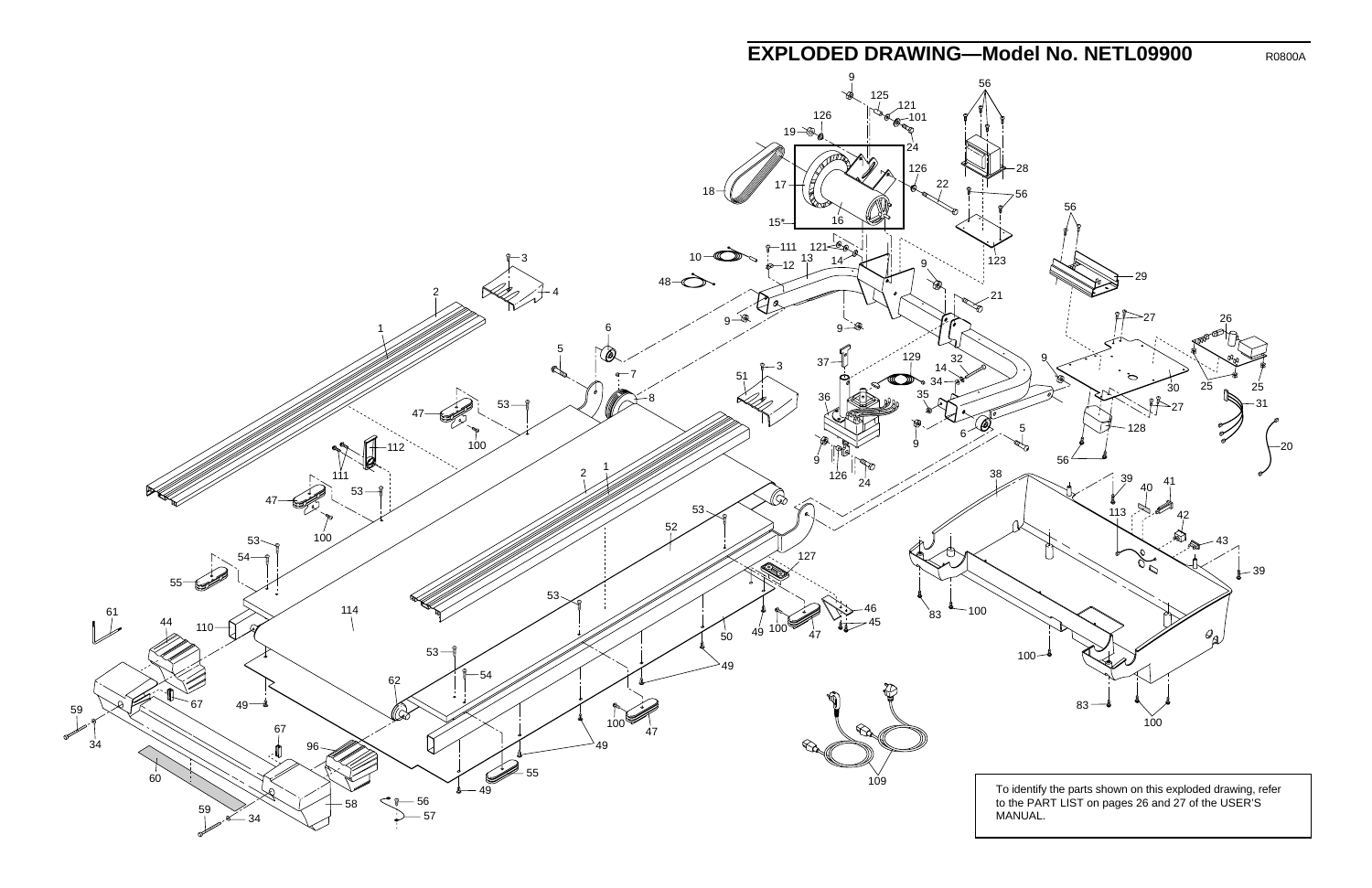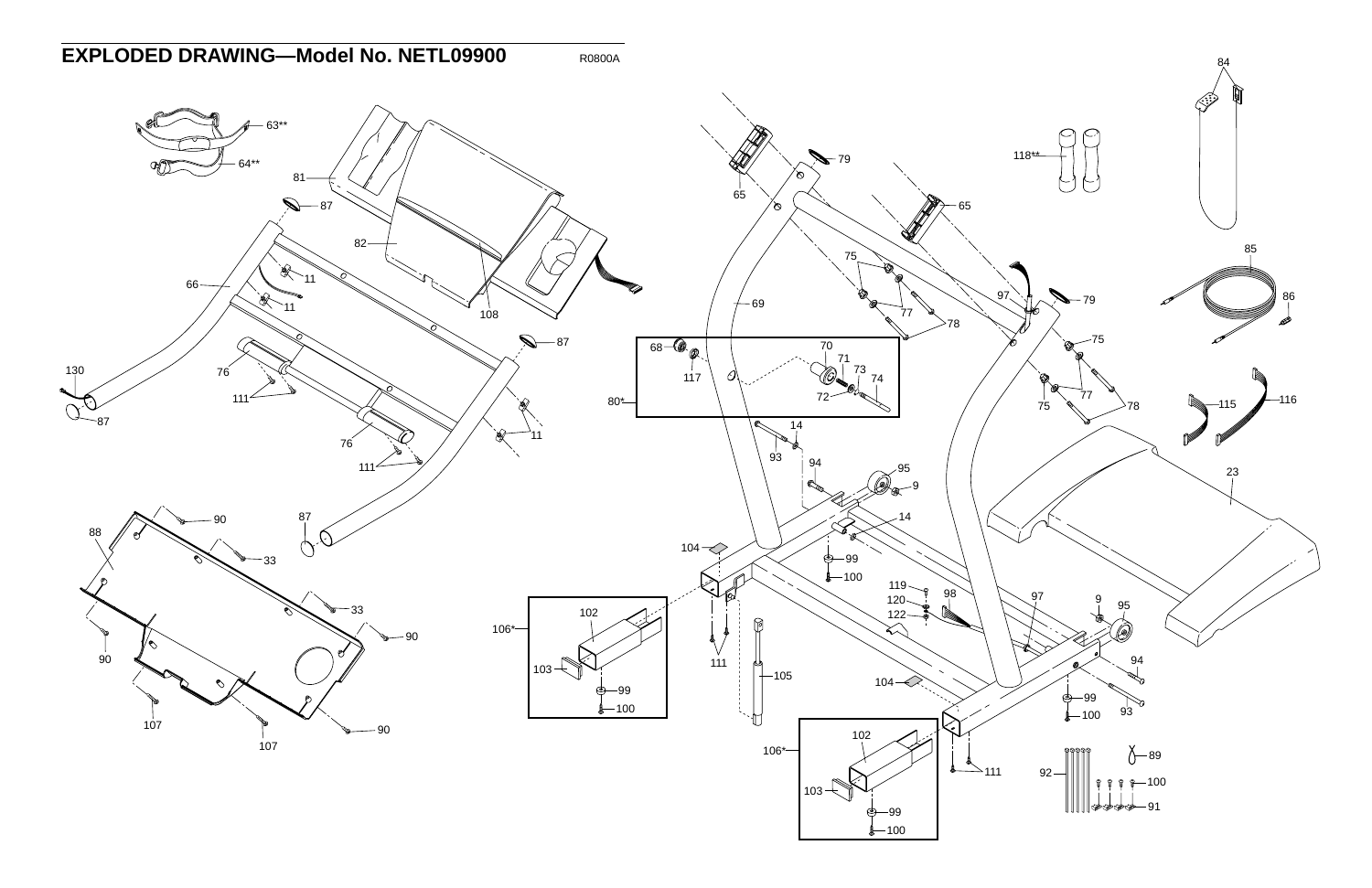